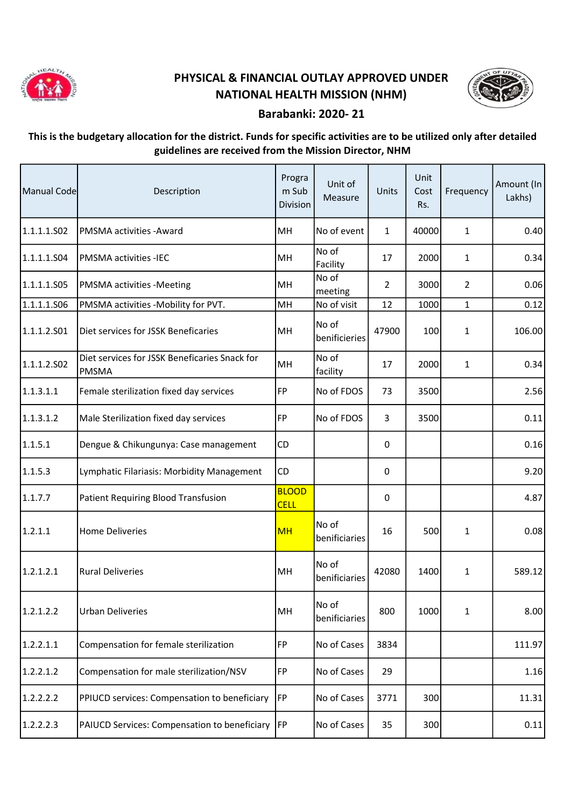

## PHYSICAL & FINANCIAL OUTLAY APPROVED UNDER NATIONAL HEALTH MISSION (NHM)



## Barabanki: 2020- 21

## This is the budgetary allocation for the district. Funds for specific activities are to be utilized only after detailed guidelines are received from the Mission Director, NHM

| Manual Code | Description                                                   | Progra<br>m Sub<br>Division | Unit of<br>Measure     | Units          | Unit<br>Cost<br>Rs. | Frequency      | Amount (In<br>Lakhs) |
|-------------|---------------------------------------------------------------|-----------------------------|------------------------|----------------|---------------------|----------------|----------------------|
| 1.1.1.1.S02 | PMSMA activities - Award                                      | MH                          | No of event            | $\mathbf{1}$   | 40000               | 1              | 0.40                 |
| 1.1.1.1.504 | <b>PMSMA activities -IEC</b>                                  | MH                          | No of<br>Facility      | 17             | 2000                | 1              | 0.34                 |
| 1.1.1.1.505 | PMSMA activities -Meeting                                     | MH                          | No of<br>meeting       | $\overline{2}$ | 3000                | $\overline{2}$ | 0.06                 |
| 1.1.1.1.506 | PMSMA activities -Mobility for PVT.                           | MH                          | No of visit            | 12             | 1000                | $\mathbf{1}$   | 0.12                 |
| 1.1.1.2.501 | Diet services for JSSK Beneficaries                           | MH                          | No of<br>benificieries | 47900          | 100                 | $\mathbf{1}$   | 106.00               |
| 1.1.1.2.502 | Diet services for JSSK Beneficaries Snack for<br><b>PMSMA</b> | MH                          | No of<br>facility      | 17             | 2000                | $\mathbf{1}$   | 0.34                 |
| 1.1.3.1.1   | Female sterilization fixed day services                       | <b>FP</b>                   | No of FDOS             | 73             | 3500                |                | 2.56                 |
| 1.1.3.1.2   | Male Sterilization fixed day services                         | <b>FP</b>                   | No of FDOS             | 3              | 3500                |                | 0.11                 |
| 1.1.5.1     | Dengue & Chikungunya: Case management                         | CD                          |                        | 0              |                     |                | 0.16                 |
| 1.1.5.3     | Lymphatic Filariasis: Morbidity Management                    | CD                          |                        | 0              |                     |                | 9.20                 |
| 1.1.7.7     | Patient Requiring Blood Transfusion                           | <b>BLOOD</b><br><b>CELL</b> |                        | 0              |                     |                | 4.87                 |
| 1.2.1.1     | <b>Home Deliveries</b>                                        | <b>MH</b>                   | No of<br>benificiaries | 16             | 500                 | $\mathbf{1}$   | 0.08                 |
| 1.2.1.2.1   | <b>Rural Deliveries</b>                                       | MH                          | No of<br>benificiaries | 42080          | 1400                | $\mathbf{1}$   | 589.12               |
| 1.2.1.2.2   | <b>Urban Deliveries</b>                                       | MH                          | No of<br>benificiaries | 800            | 1000                | 1              | 8.00                 |
| 1.2.2.1.1   | Compensation for female sterilization                         | FP                          | No of Cases            | 3834           |                     |                | 111.97               |
| 1.2.2.1.2   | Compensation for male sterilization/NSV                       | <b>FP</b>                   | No of Cases            | 29             |                     |                | 1.16                 |
| 1.2.2.2.2   | PPIUCD services: Compensation to beneficiary                  | FP                          | No of Cases            | 3771           | 300                 |                | 11.31                |
| 1.2.2.2.3   | PAIUCD Services: Compensation to beneficiary  FP              |                             | No of Cases            | 35             | 300                 |                | 0.11                 |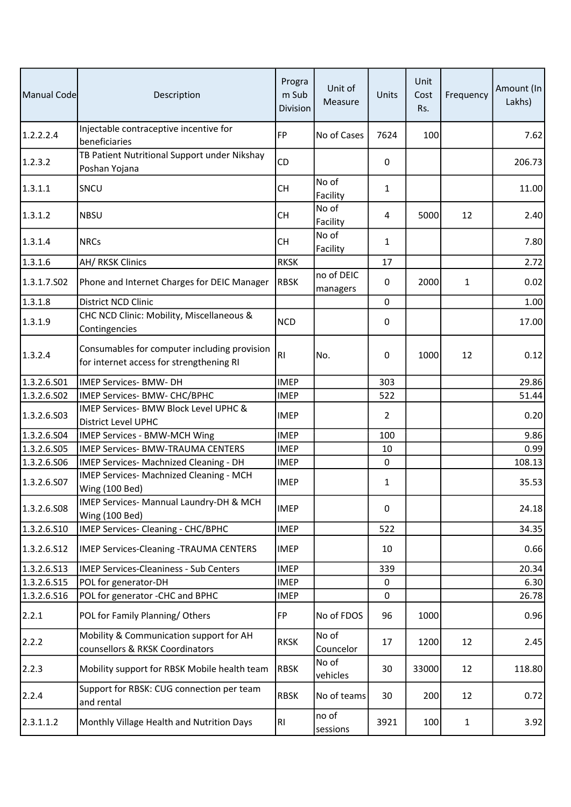| Manual Code | Description                                                                              | Progra<br>m Sub<br>Division | Unit of<br>Measure     | Units       | Unit<br>Cost<br>Rs. | Frequency    | Amount (In<br>Lakhs) |
|-------------|------------------------------------------------------------------------------------------|-----------------------------|------------------------|-------------|---------------------|--------------|----------------------|
| 1.2.2.2.4   | Injectable contraceptive incentive for<br>beneficiaries                                  | <b>FP</b>                   | No of Cases            | 7624        | 100                 |              | 7.62                 |
| 1.2.3.2     | TB Patient Nutritional Support under Nikshay<br>Poshan Yojana                            | CD                          |                        | 0           |                     |              | 206.73               |
| 1.3.1.1     | SNCU                                                                                     | CН                          | No of<br>Facility      | 1           |                     |              | 11.00                |
| 1.3.1.2     | <b>NBSU</b>                                                                              | <b>CH</b>                   | No of<br>Facility      | 4           | 5000                | 12           | 2.40                 |
| 1.3.1.4     | <b>NRCs</b>                                                                              | <b>CH</b>                   | No of<br>Facility      | 1           |                     |              | 7.80                 |
| 1.3.1.6     | AH/ RKSK Clinics                                                                         | <b>RKSK</b>                 |                        | 17          |                     |              | 2.72                 |
| 1.3.1.7.502 | Phone and Internet Charges for DEIC Manager                                              | <b>RBSK</b>                 | no of DEIC<br>managers | 0           | 2000                | $\mathbf{1}$ | 0.02                 |
| 1.3.1.8     | <b>District NCD Clinic</b>                                                               |                             |                        | 0           |                     |              | 1.00                 |
| 1.3.1.9     | CHC NCD Clinic: Mobility, Miscellaneous &<br>Contingencies                               | <b>NCD</b>                  |                        | 0           |                     |              | 17.00                |
| 1.3.2.4     | Consumables for computer including provision<br>for internet access for strengthening RI | R <sub>l</sub>              | No.                    | 0           | 1000                | 12           | 0.12                 |
| 1.3.2.6.S01 | <b>IMEP Services- BMW- DH</b>                                                            | <b>IMEP</b>                 |                        | 303         |                     |              | 29.86                |
| 1.3.2.6.S02 | IMEP Services- BMW- CHC/BPHC                                                             | <b>IMEP</b>                 |                        | 522         |                     |              | 51.44                |
| 1.3.2.6.503 | IMEP Services- BMW Block Level UPHC &<br><b>District Level UPHC</b>                      | <b>IMEP</b>                 |                        | 2           |                     |              | 0.20                 |
| 1.3.2.6.504 | <b>IMEP Services - BMW-MCH Wing</b>                                                      | <b>IMEP</b>                 |                        | 100         |                     |              | 9.86                 |
| 1.3.2.6.S05 | <b>IMEP Services- BMW-TRAUMA CENTERS</b>                                                 | <b>IMEP</b>                 |                        | 10          |                     |              | 0.99                 |
| 1.3.2.6.506 | IMEP Services- Machnized Cleaning - DH                                                   | <b>IMEP</b>                 |                        | $\mathbf 0$ |                     |              | 108.13               |
| 1.3.2.6.507 | IMEP Services- Machnized Cleaning - MCH<br><b>Wing (100 Bed)</b>                         | <b>IMEP</b>                 |                        | 1           |                     |              | 35.53                |
| 1.3.2.6.508 | IMEP Services- Mannual Laundry-DH & MCH<br><b>Wing (100 Bed)</b>                         | <b>IMEP</b>                 |                        | 0           |                     |              | 24.18                |
| 1.3.2.6.510 | IMEP Services- Cleaning - CHC/BPHC                                                       | <b>IMEP</b>                 |                        | 522         |                     |              | 34.35                |
| 1.3.2.6.S12 | <b>IMEP Services-Cleaning -TRAUMA CENTERS</b>                                            | <b>IMEP</b>                 |                        | 10          |                     |              | 0.66                 |
| 1.3.2.6.513 | <b>IMEP Services-Cleaniness - Sub Centers</b>                                            | <b>IMEP</b>                 |                        | 339         |                     |              | 20.34                |
| 1.3.2.6.S15 | POL for generator-DH                                                                     | <b>IMEP</b>                 |                        | 0           |                     |              | 6.30                 |
| 1.3.2.6.516 | POL for generator -CHC and BPHC                                                          | <b>IMEP</b>                 |                        | 0           |                     |              | 26.78                |
| 2.2.1       | POL for Family Planning/Others                                                           | <b>FP</b>                   | No of FDOS             | 96          | 1000                |              | 0.96                 |
| 2.2.2       | Mobility & Communication support for AH<br>counsellors & RKSK Coordinators               | <b>RKSK</b>                 | No of<br>Councelor     | 17          | 1200                | 12           | 2.45                 |
| 2.2.3       | Mobility support for RBSK Mobile health team                                             | <b>RBSK</b>                 | No of<br>vehicles      | 30          | 33000               | 12           | 118.80               |
| 2.2.4       | Support for RBSK: CUG connection per team<br>and rental                                  | <b>RBSK</b>                 | No of teams            | 30          | 200                 | 12           | 0.72                 |
| 2.3.1.1.2   | Monthly Village Health and Nutrition Days                                                | R <sub>1</sub>              | no of<br>sessions      | 3921        | 100                 | $\mathbf{1}$ | 3.92                 |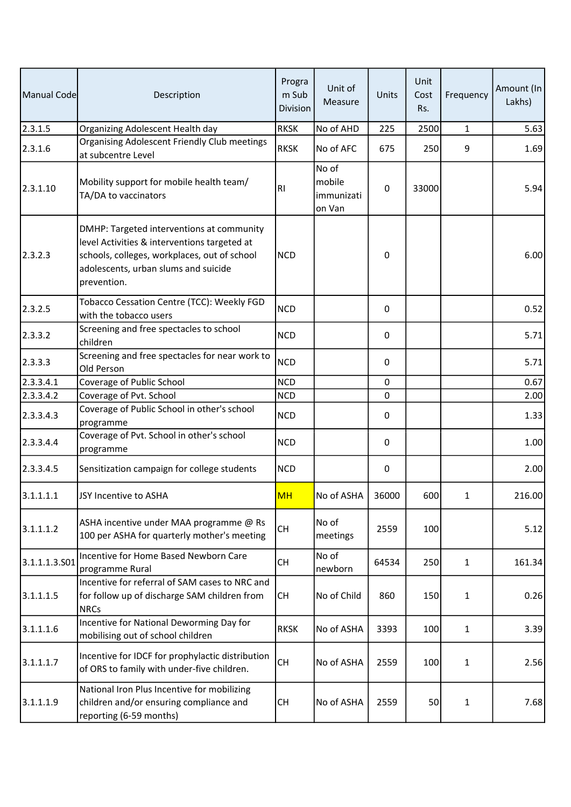| Manual Code   | Description                                                                                                                                                                                      | Progra<br>m Sub<br>Division | Unit of<br>Measure                      | Units       | Unit<br>Cost<br>Rs. | Frequency    | Amount (In<br>Lakhs) |
|---------------|--------------------------------------------------------------------------------------------------------------------------------------------------------------------------------------------------|-----------------------------|-----------------------------------------|-------------|---------------------|--------------|----------------------|
| 2.3.1.5       | Organizing Adolescent Health day                                                                                                                                                                 | <b>RKSK</b>                 | No of AHD                               | 225         | 2500                | $\mathbf{1}$ | 5.63                 |
| 2.3.1.6       | <b>Organising Adolescent Friendly Club meetings</b><br>at subcentre Level                                                                                                                        | <b>RKSK</b>                 | No of AFC                               | 675         | 250                 | 9            | 1.69                 |
| 2.3.1.10      | Mobility support for mobile health team/<br>TA/DA to vaccinators                                                                                                                                 | RI                          | No of<br>mobile<br>immunizati<br>on Van | $\pmb{0}$   | 33000               |              | 5.94                 |
| 2.3.2.3       | DMHP: Targeted interventions at community<br>level Activities & interventions targeted at<br>schools, colleges, workplaces, out of school<br>adolescents, urban slums and suicide<br>prevention. | <b>NCD</b>                  |                                         | $\pmb{0}$   |                     |              | 6.00                 |
| 2.3.2.5       | Tobacco Cessation Centre (TCC): Weekly FGD<br>with the tobacco users                                                                                                                             | <b>NCD</b>                  |                                         | 0           |                     |              | 0.52                 |
| 2.3.3.2       | Screening and free spectacles to school<br>children                                                                                                                                              | <b>NCD</b>                  |                                         | 0           |                     |              | 5.71                 |
| 2.3.3.3       | Screening and free spectacles for near work to<br>Old Person                                                                                                                                     | <b>NCD</b>                  |                                         | 0           |                     |              | 5.71                 |
| 2.3.3.4.1     | Coverage of Public School                                                                                                                                                                        | <b>NCD</b>                  |                                         | $\mathbf 0$ |                     |              | 0.67                 |
| 2.3.3.4.2     | Coverage of Pvt. School                                                                                                                                                                          | <b>NCD</b>                  |                                         | 0           |                     |              | 2.00                 |
| 2.3.3.4.3     | Coverage of Public School in other's school<br>programme                                                                                                                                         | <b>NCD</b>                  |                                         | 0           |                     |              | 1.33                 |
| 2.3.3.4.4     | Coverage of Pvt. School in other's school<br>programme                                                                                                                                           | <b>NCD</b>                  |                                         | 0           |                     |              | 1.00                 |
| 2.3.3.4.5     | Sensitization campaign for college students                                                                                                                                                      | <b>NCD</b>                  |                                         | 0           |                     |              | 2.00                 |
| 3.1.1.1.1     | JSY Incentive to ASHA                                                                                                                                                                            | <b>MH</b>                   | No of ASHA                              | 36000       | 600                 | 1            | 216.00               |
| 3.1.1.1.2     | ASHA incentive under MAA programme @ Rs<br>100 per ASHA for quarterly mother's meeting                                                                                                           | <b>CH</b>                   | No of<br>meetings                       | 2559        | 100                 |              | 5.12                 |
| 3.1.1.1.3.501 | Incentive for Home Based Newborn Care<br>programme Rural                                                                                                                                         | <b>CH</b>                   | No of<br>newborn                        | 64534       | 250                 | $\mathbf{1}$ | 161.34               |
| 3.1.1.1.5     | Incentive for referral of SAM cases to NRC and<br>for follow up of discharge SAM children from<br><b>NRCs</b>                                                                                    | <b>CH</b>                   | No of Child                             | 860         | 150                 | $\mathbf{1}$ | 0.26                 |
| 3.1.1.1.6     | Incentive for National Deworming Day for<br>mobilising out of school children                                                                                                                    | <b>RKSK</b>                 | No of ASHA                              | 3393        | 100                 | 1            | 3.39                 |
| 3.1.1.1.7     | Incentive for IDCF for prophylactic distribution<br>of ORS to family with under-five children.                                                                                                   | <b>CH</b>                   | No of ASHA                              | 2559        | 100                 | 1            | 2.56                 |
| 3.1.1.1.9     | National Iron Plus Incentive for mobilizing<br>children and/or ensuring compliance and<br>reporting (6-59 months)                                                                                | <b>CH</b>                   | No of ASHA                              | 2559        | 50                  | 1            | 7.68                 |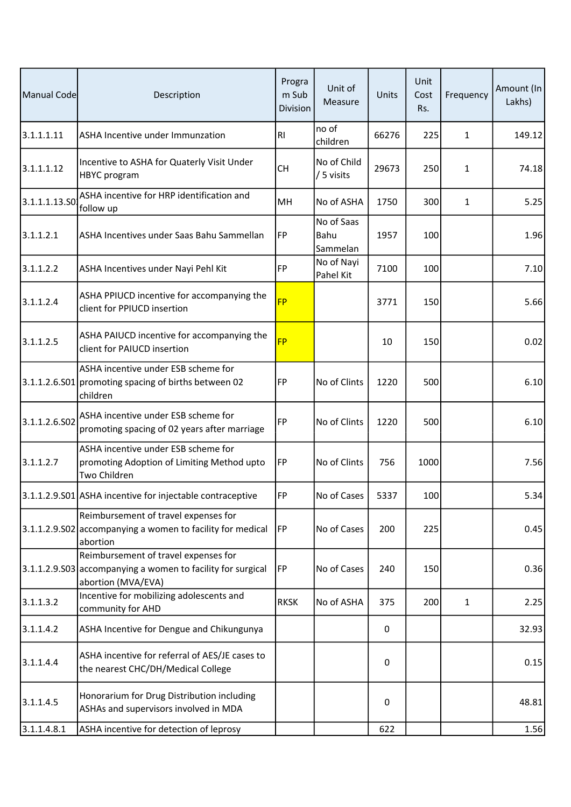| Manual Code   | Description                                                                                                               | Progra<br>m Sub<br>Division | Unit of<br>Measure             | Units | Unit<br>Cost<br>Rs. | Frequency    | Amount (In<br>Lakhs) |
|---------------|---------------------------------------------------------------------------------------------------------------------------|-----------------------------|--------------------------------|-------|---------------------|--------------|----------------------|
| 3.1.1.1.11    | ASHA Incentive under Immunzation                                                                                          | R <sub>l</sub>              | no of<br>children              | 66276 | 225                 | 1            | 149.12               |
| 3.1.1.1.12    | Incentive to ASHA for Quaterly Visit Under<br><b>HBYC</b> program                                                         | <b>CH</b>                   | No of Child<br>/ 5 visits      | 29673 | 250                 | 1            | 74.18                |
| 3.1.1.1.13.SO | ASHA incentive for HRP identification and<br>follow up                                                                    | MH                          | No of ASHA                     | 1750  | 300                 | $\mathbf{1}$ | 5.25                 |
| 3.1.1.2.1     | ASHA Incentives under Saas Bahu Sammellan                                                                                 | FP                          | No of Saas<br>Bahu<br>Sammelan | 1957  | 100                 |              | 1.96                 |
| 3.1.1.2.2     | ASHA Incentives under Nayi Pehl Kit                                                                                       | <b>FP</b>                   | No of Nayi<br>Pahel Kit        | 7100  | 100                 |              | 7.10                 |
| 3.1.1.2.4     | ASHA PPIUCD incentive for accompanying the<br>client for PPIUCD insertion                                                 | <b>FP</b>                   |                                | 3771  | 150                 |              | 5.66                 |
| 3.1.1.2.5     | ASHA PAIUCD incentive for accompanying the<br>client for PAIUCD insertion                                                 | <b>FP</b>                   |                                | 10    | 150                 |              | 0.02                 |
|               | ASHA incentive under ESB scheme for<br>3.1.1.2.6.S01 promoting spacing of births between 02<br>children                   | <b>FP</b>                   | No of Clints                   | 1220  | 500                 |              | 6.10                 |
| 3.1.1.2.6.S02 | ASHA incentive under ESB scheme for<br>promoting spacing of 02 years after marriage                                       | <b>FP</b>                   | No of Clints                   | 1220  | 500                 |              | 6.10                 |
| 3.1.1.2.7     | ASHA incentive under ESB scheme for<br>promoting Adoption of Limiting Method upto<br>Two Children                         | <b>FP</b>                   | No of Clints                   | 756   | 1000                |              | 7.56                 |
|               | 3.1.1.2.9.S01 ASHA incentive for injectable contraceptive                                                                 | FP                          | No of Cases                    | 5337  | 100                 |              | 5.34                 |
|               | Reimbursement of travel expenses for<br>3.1.1.2.9.502 accompanying a women to facility for medical<br>abortion            | FP                          | No of Cases                    | 200   | 225                 |              | 0.45                 |
|               | Reimbursement of travel expenses for<br>3.1.1.2.9.S03 accompanying a women to facility for surgical<br>abortion (MVA/EVA) | FP                          | No of Cases                    | 240   | 150                 |              | 0.36                 |
| 3.1.1.3.2     | Incentive for mobilizing adolescents and<br>community for AHD                                                             | <b>RKSK</b>                 | No of ASHA                     | 375   | 200                 | 1            | 2.25                 |
| 3.1.1.4.2     | ASHA Incentive for Dengue and Chikungunya                                                                                 |                             |                                | 0     |                     |              | 32.93                |
| 3.1.1.4.4     | ASHA incentive for referral of AES/JE cases to<br>the nearest CHC/DH/Medical College                                      |                             |                                | 0     |                     |              | 0.15                 |
| 3.1.1.4.5     | Honorarium for Drug Distribution including<br>ASHAs and supervisors involved in MDA                                       |                             |                                | 0     |                     |              | 48.81                |
| 3.1.1.4.8.1   | ASHA incentive for detection of leprosy                                                                                   |                             |                                | 622   |                     |              | 1.56                 |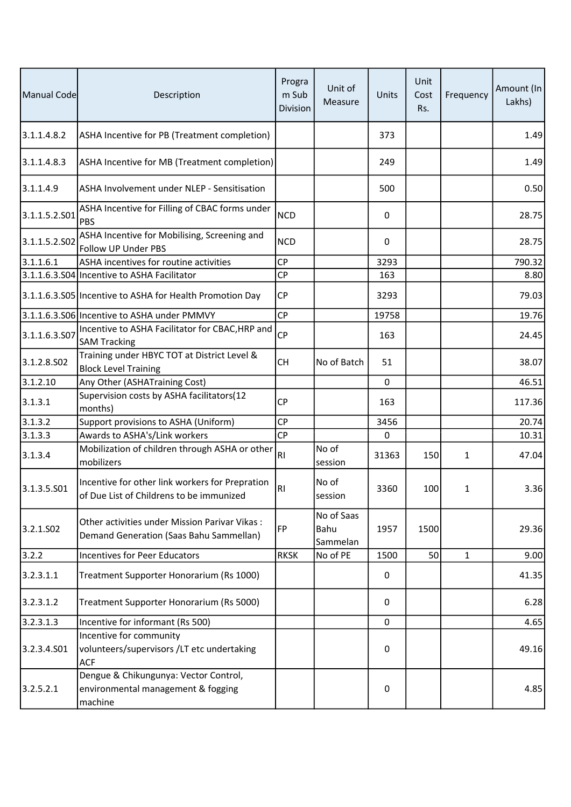| Manual Code           | Description                                                                                 | Progra<br>m Sub<br>Division | Unit of<br>Measure             | Units | Unit<br>Cost<br>Rs. | Frequency    | Amount (In<br>Lakhs) |
|-----------------------|---------------------------------------------------------------------------------------------|-----------------------------|--------------------------------|-------|---------------------|--------------|----------------------|
| 3.1.1.4.8.2           | ASHA Incentive for PB (Treatment completion)                                                |                             |                                | 373   |                     |              | 1.49                 |
| 3.1.1.4.8.3           | ASHA Incentive for MB (Treatment completion)                                                |                             |                                | 249   |                     |              | 1.49                 |
| 3.1.1.4.9             | ASHA Involvement under NLEP - Sensitisation                                                 |                             |                                | 500   |                     |              | 0.50                 |
| 3.1.1.5.2.S01         | ASHA Incentive for Filling of CBAC forms under<br>PBS                                       | <b>NCD</b>                  |                                | 0     |                     |              | 28.75                |
| 3.1.1.5.2.502         | ASHA Incentive for Mobilising, Screening and<br>Follow UP Under PBS                         | <b>NCD</b>                  |                                | 0     |                     |              | 28.75                |
| 3.1.1.6.1             | ASHA incentives for routine activities                                                      | <b>CP</b>                   |                                | 3293  |                     |              | 790.32               |
|                       | 3.1.1.6.3.S04 Incentive to ASHA Facilitator                                                 | <b>CP</b>                   |                                | 163   |                     |              | 8.80                 |
|                       | 3.1.1.6.3.S05 Incentive to ASHA for Health Promotion Day                                    | <b>CP</b>                   |                                | 3293  |                     |              | 79.03                |
|                       | 3.1.1.6.3.S06 Incentive to ASHA under PMMVY                                                 | <b>CP</b>                   |                                | 19758 |                     |              | 19.76                |
| 3.1.1.6.3.507         | Incentive to ASHA Facilitator for CBAC, HRP and<br><b>SAM Tracking</b>                      | <b>CP</b>                   |                                | 163   |                     |              | 24.45                |
| 3.1.2.8.502           | Training under HBYC TOT at District Level &<br><b>Block Level Training</b>                  | <b>CH</b>                   | No of Batch                    | 51    |                     |              | 38.07                |
| 3.1.2.10              | Any Other (ASHATraining Cost)                                                               |                             |                                | 0     |                     |              | 46.51                |
| 3.1.3.1               | Supervision costs by ASHA facilitators(12<br>months)                                        | <b>CP</b>                   |                                | 163   |                     |              | 117.36               |
| 3.1.3.2               | Support provisions to ASHA (Uniform)                                                        | <b>CP</b>                   |                                | 3456  |                     |              | 20.74                |
| 3.1.3.3               | Awards to ASHA's/Link workers                                                               | <b>CP</b>                   |                                | 0     |                     |              | 10.31                |
| 3.1.3.4               | Mobilization of children through ASHA or other<br>mobilizers                                | RI                          | No of<br>session               | 31363 | 150                 | 1            | 47.04                |
| 3.1.3.5.501           | Incentive for other link workers for Prepration<br>of Due List of Childrens to be immunized | RI                          | No of<br>session               | 3360  | 100                 | 1            | 3.36                 |
| 3.2.1.SO <sub>2</sub> | Other activities under Mission Parivar Vikas:<br>Demand Generation (Saas Bahu Sammellan)    | <b>FP</b>                   | No of Saas<br>Bahu<br>Sammelan | 1957  | 1500                |              | 29.36                |
| 3.2.2                 | <b>Incentives for Peer Educators</b>                                                        | <b>RKSK</b>                 | No of PE                       | 1500  | 50                  | $\mathbf{1}$ | 9.00                 |
| 3.2.3.1.1             | Treatment Supporter Honorarium (Rs 1000)                                                    |                             |                                | 0     |                     |              | 41.35                |
| 3.2.3.1.2             | Treatment Supporter Honorarium (Rs 5000)                                                    |                             |                                | 0     |                     |              | 6.28                 |
| 3.2.3.1.3             | Incentive for informant (Rs 500)                                                            |                             |                                | 0     |                     |              | 4.65                 |
| 3.2.3.4.S01           | Incentive for community<br>volunteers/supervisors /LT etc undertaking<br><b>ACF</b>         |                             |                                | 0     |                     |              | 49.16                |
| 3.2.5.2.1             | Dengue & Chikungunya: Vector Control,<br>environmental management & fogging<br>machine      |                             |                                | 0     |                     |              | 4.85                 |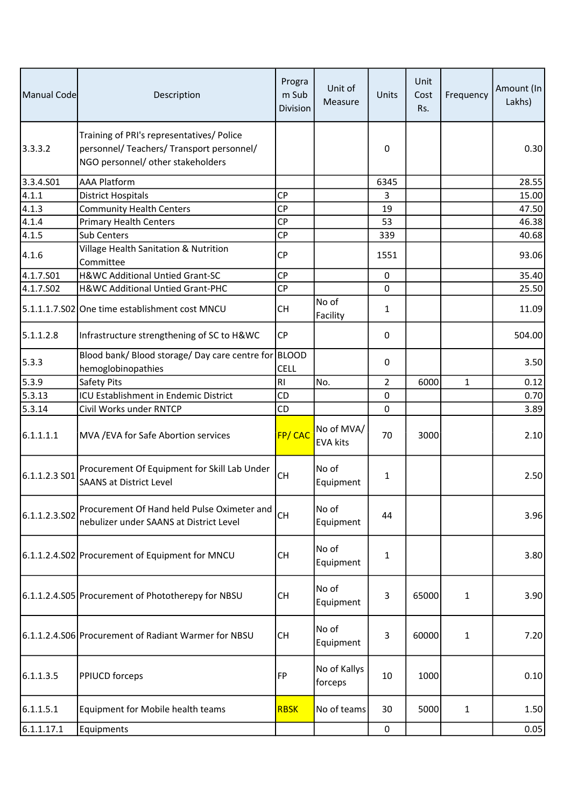| Manual Code   | Description                                                                                                                 | Progra<br>m Sub<br><b>Division</b> | Unit of<br>Measure            | Units          | Unit<br>Cost<br>Rs. | Frequency    | Amount (In<br>Lakhs) |
|---------------|-----------------------------------------------------------------------------------------------------------------------------|------------------------------------|-------------------------------|----------------|---------------------|--------------|----------------------|
| 3.3.3.2       | Training of PRI's representatives/ Police<br>personnel/ Teachers/ Transport personnel/<br>NGO personnel/ other stakeholders |                                    |                               | 0              |                     |              | 0.30                 |
| 3.3.4.S01     | <b>AAA Platform</b>                                                                                                         |                                    |                               | 6345           |                     |              | 28.55                |
| 4.1.1         | <b>District Hospitals</b>                                                                                                   | <b>CP</b>                          |                               | 3              |                     |              | 15.00                |
| 4.1.3         | <b>Community Health Centers</b>                                                                                             | <b>CP</b>                          |                               | 19             |                     |              | 47.50                |
| 4.1.4         | <b>Primary Health Centers</b>                                                                                               | <b>CP</b>                          |                               | 53             |                     |              | 46.38                |
| 4.1.5         | Sub Centers                                                                                                                 | <b>CP</b>                          |                               | 339            |                     |              | 40.68                |
| 4.1.6         | Village Health Sanitation & Nutrition<br>Committee                                                                          | <b>CP</b>                          |                               | 1551           |                     |              | 93.06                |
| 4.1.7.501     | H&WC Additional Untied Grant-SC                                                                                             | <b>CP</b>                          |                               | 0              |                     |              | 35.40                |
| 4.1.7.502     | H&WC Additional Untied Grant-PHC                                                                                            | <b>CP</b>                          |                               | 0              |                     |              | 25.50                |
|               | 5.1.1.1.7.S02 One time establishment cost MNCU                                                                              | CН                                 | No of<br>Facility             | $\mathbf{1}$   |                     |              | 11.09                |
| 5.1.1.2.8     | Infrastructure strengthening of SC to H&WC                                                                                  | <b>CP</b>                          |                               | 0              |                     |              | 504.00               |
| 5.3.3         | Blood bank/ Blood storage/ Day care centre for BLOOD<br>hemoglobinopathies                                                  | <b>CELL</b>                        |                               | 0              |                     |              | 3.50                 |
| 5.3.9         | Safety Pits                                                                                                                 | RI                                 | No.                           | $\overline{2}$ | 6000                | $\mathbf{1}$ | 0.12                 |
| 5.3.13        | ICU Establishment in Endemic District                                                                                       | CD                                 |                               | 0              |                     |              | 0.70                 |
| 5.3.14        | Civil Works under RNTCP                                                                                                     | CD                                 |                               | 0              |                     |              | 3.89                 |
| 6.1.1.1.1     | MVA / EVA for Safe Abortion services                                                                                        | FP/CAC                             | No of MVA/<br><b>EVA kits</b> | 70             | 3000                |              | 2.10                 |
| 6.1.1.2.3 SO1 | Procurement Of Equipment for Skill Lab Under<br><b>SAANS at District Level</b>                                              | <b>CH</b>                          | No of<br>Equipment            | 1              |                     |              | 2.50                 |
| 6.1.1.2.3.502 | Procurement Of Hand held Pulse Oximeter and<br>nebulizer under SAANS at District Level                                      | <b>CH</b>                          | No of<br>Equipment            | 44             |                     |              | 3.96                 |
|               | 6.1.1.2.4.S02 Procurement of Equipment for MNCU                                                                             | <b>CH</b>                          | No of<br>Equipment            | 1              |                     |              | 3.80                 |
|               | 6.1.1.2.4.S05 Procurement of Phototherepy for NBSU                                                                          | <b>CH</b>                          | No of<br>Equipment            | 3              | 65000               | $\mathbf{1}$ | 3.90                 |
|               | 6.1.1.2.4.S06 Procurement of Radiant Warmer for NBSU                                                                        | <b>CH</b>                          | No of<br>Equipment            | 3              | 60000               | $\mathbf{1}$ | 7.20                 |
| 6.1.1.3.5     | <b>PPIUCD forceps</b>                                                                                                       | FP                                 | No of Kallys<br>forceps       | 10             | 1000                |              | 0.10                 |
| 6.1.1.5.1     | Equipment for Mobile health teams                                                                                           | <b>RBSK</b>                        | No of teams                   | 30             | 5000                | $\mathbf{1}$ | 1.50                 |
| 6.1.1.17.1    | Equipments                                                                                                                  |                                    |                               | $\pmb{0}$      |                     |              | 0.05                 |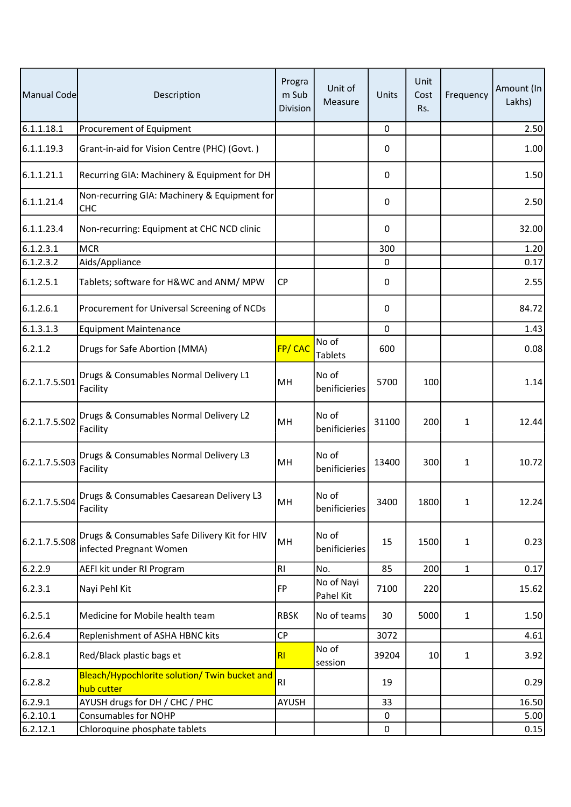| Manual Code   | Description                                                              | Progra<br>m Sub<br>Division | Unit of<br>Measure      | Units     | Unit<br>Cost<br>Rs. | Frequency    | Amount (In<br>Lakhs) |
|---------------|--------------------------------------------------------------------------|-----------------------------|-------------------------|-----------|---------------------|--------------|----------------------|
| 6.1.1.18.1    | Procurement of Equipment                                                 |                             |                         | $\pmb{0}$ |                     |              | 2.50                 |
| 6.1.1.19.3    | Grant-in-aid for Vision Centre (PHC) (Govt.)                             |                             |                         | 0         |                     |              | 1.00                 |
| 6.1.1.21.1    | Recurring GIA: Machinery & Equipment for DH                              |                             |                         | 0         |                     |              | 1.50                 |
| 6.1.1.21.4    | Non-recurring GIA: Machinery & Equipment for<br>CHC                      |                             |                         | 0         |                     |              | 2.50                 |
| 6.1.1.23.4    | Non-recurring: Equipment at CHC NCD clinic                               |                             |                         | 0         |                     |              | 32.00                |
| 6.1.2.3.1     | <b>MCR</b>                                                               |                             |                         | 300       |                     |              | 1.20                 |
| 6.1.2.3.2     | Aids/Appliance                                                           |                             |                         | 0         |                     |              | 0.17                 |
| 6.1.2.5.1     | Tablets; software for H&WC and ANM/ MPW                                  | <b>CP</b>                   |                         | 0         |                     |              | 2.55                 |
| 6.1.2.6.1     | Procurement for Universal Screening of NCDs                              |                             |                         | 0         |                     |              | 84.72                |
| 6.1.3.1.3     | <b>Equipment Maintenance</b>                                             |                             |                         | 0         |                     |              | 1.43                 |
| 6.2.1.2       | Drugs for Safe Abortion (MMA)                                            | FP/CAC                      | No of<br><b>Tablets</b> | 600       |                     |              | 0.08                 |
| 6.2.1.7.5.S01 | Drugs & Consumables Normal Delivery L1<br>Facility                       | MH                          | No of<br>benificieries  | 5700      | 100                 |              | 1.14                 |
| 6.2.1.7.5.S02 | Drugs & Consumables Normal Delivery L2<br>Facility                       | MH                          | No of<br>benificieries  | 31100     | 200                 | $\mathbf{1}$ | 12.44                |
| 6.2.1.7.5.S03 | Drugs & Consumables Normal Delivery L3<br>Facility                       | MH                          | No of<br>benificieries  | 13400     | 300                 | 1            | 10.72                |
| 6.2.1.7.5.504 | Drugs & Consumables Caesarean Delivery L3<br>Facility                    | MН                          | lNo of<br>benificieries | 3400      | 1800                | $\mathbf{1}$ | 12.24                |
| 6.2.1.7.5.S08 | Drugs & Consumables Safe Dilivery Kit for HIV<br>infected Pregnant Women | MH                          | No of<br>benificieries  | 15        | 1500                | 1            | 0.23                 |
| 6.2.2.9       | AEFI kit under RI Program                                                | RI                          | No.                     | 85        | 200                 | $\mathbf{1}$ | 0.17                 |
| 6.2.3.1       | Nayi Pehl Kit                                                            | <b>FP</b>                   | No of Nayi<br>Pahel Kit | 7100      | 220                 |              | 15.62                |
| 6.2.5.1       | Medicine for Mobile health team                                          | <b>RBSK</b>                 | No of teams             | 30        | 5000                | $\mathbf{1}$ | 1.50                 |
| 6.2.6.4       | Replenishment of ASHA HBNC kits                                          | <b>CP</b>                   |                         | 3072      |                     |              | 4.61                 |
| 6.2.8.1       | Red/Black plastic bags et                                                | R <sub>l</sub>              | No of<br>session        | 39204     | 10                  | $\mathbf{1}$ | 3.92                 |
| 6.2.8.2       | Bleach/Hypochlorite solution/ Twin bucket and<br>hub cutter              | RI                          |                         | 19        |                     |              | 0.29                 |
| 6.2.9.1       | AYUSH drugs for DH / CHC / PHC                                           | AYUSH                       |                         | 33        |                     |              | 16.50                |
| 6.2.10.1      | <b>Consumables for NOHP</b>                                              |                             |                         | 0         |                     |              | 5.00                 |
| 6.2.12.1      | Chloroquine phosphate tablets                                            |                             |                         | 0         |                     |              | 0.15                 |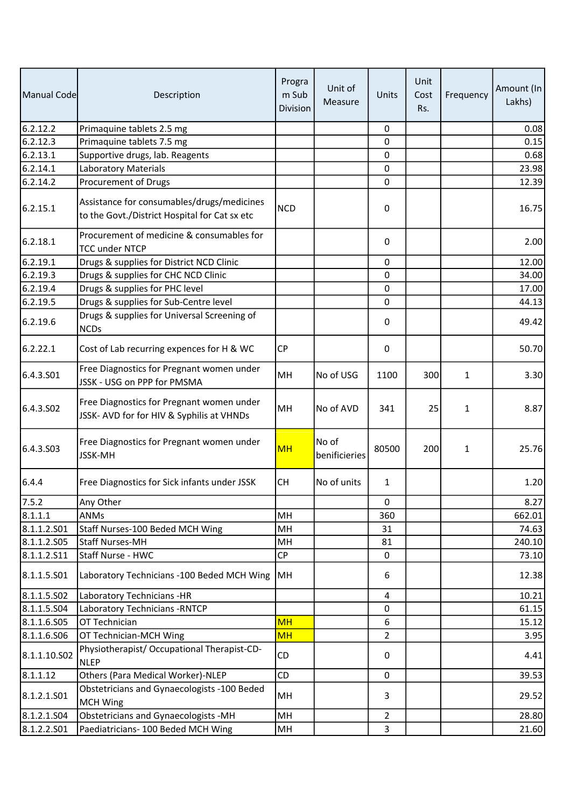| Manual Code           | Description                                                                                 | Progra<br>m Sub<br><b>Division</b> | Unit of<br>Measure     | Units          | Unit<br>Cost<br>Rs. | Frequency    | Amount (In<br>Lakhs) |
|-----------------------|---------------------------------------------------------------------------------------------|------------------------------------|------------------------|----------------|---------------------|--------------|----------------------|
| 6.2.12.2              | Primaquine tablets 2.5 mg                                                                   |                                    |                        | 0              |                     |              | 0.08                 |
| 6.2.12.3              | Primaquine tablets 7.5 mg                                                                   |                                    |                        | 0              |                     |              | 0.15                 |
| 6.2.13.1              | Supportive drugs, lab. Reagents                                                             |                                    |                        | 0              |                     |              | 0.68                 |
| 6.2.14.1              | <b>Laboratory Materials</b>                                                                 |                                    |                        | 0              |                     |              | 23.98                |
| 6.2.14.2              | Procurement of Drugs                                                                        |                                    |                        | 0              |                     |              | 12.39                |
| 6.2.15.1              | Assistance for consumables/drugs/medicines<br>to the Govt./District Hospital for Cat sx etc | <b>NCD</b>                         |                        | 0              |                     |              | 16.75                |
| 6.2.18.1              | Procurement of medicine & consumables for<br><b>TCC under NTCP</b>                          |                                    |                        | 0              |                     |              | 2.00                 |
| 6.2.19.1              | Drugs & supplies for District NCD Clinic                                                    |                                    |                        | $\Omega$       |                     |              | 12.00                |
| 6.2.19.3              | Drugs & supplies for CHC NCD Clinic                                                         |                                    |                        | 0              |                     |              | 34.00                |
| 6.2.19.4              | Drugs & supplies for PHC level                                                              |                                    |                        | 0              |                     |              | 17.00                |
| 6.2.19.5              | Drugs & supplies for Sub-Centre level                                                       |                                    |                        | 0              |                     |              | 44.13                |
| 6.2.19.6              | Drugs & supplies for Universal Screening of<br><b>NCDs</b>                                  |                                    |                        | 0              |                     |              | 49.42                |
| 6.2.22.1              | Cost of Lab recurring expences for H & WC                                                   | <b>CP</b>                          |                        | 0              |                     |              | 50.70                |
| 6.4.3.501             | Free Diagnostics for Pregnant women under<br>JSSK - USG on PPP for PMSMA                    | MH                                 | No of USG              | 1100           | 300                 | 1            | 3.30                 |
| 6.4.3.SO <sub>2</sub> | Free Diagnostics for Pregnant women under<br>JSSK- AVD for for HIV & Syphilis at VHNDs      | MH                                 | No of AVD              | 341            | 25                  | 1            | 8.87                 |
| 6.4.3.S03             | Free Diagnostics for Pregnant women under<br><b>JSSK-MH</b>                                 | <b>MH</b>                          | No of<br>benificieries | 80500          | 200                 | $\mathbf{1}$ | 25.76                |
| 6.4.4                 | Free Diagnostics for Sick infants under JSSK                                                | <b>CH</b>                          | No of units            | $\mathbf{1}$   |                     |              | 1.20                 |
| 7.5.2                 | Any Other                                                                                   |                                    |                        | 0              |                     |              | 8.27                 |
| 8.1.1.1               | <b>ANMs</b>                                                                                 | MH                                 |                        | 360            |                     |              | 662.01               |
| 8.1.1.2.501           | Staff Nurses-100 Beded MCH Wing                                                             | MH                                 |                        | 31             |                     |              | 74.63                |
| 8.1.1.2.505           | <b>Staff Nurses-MH</b>                                                                      | MH                                 |                        | 81             |                     |              | 240.10               |
| 8.1.1.2.511           | Staff Nurse - HWC                                                                           | CP                                 |                        | 0              |                     |              | 73.10                |
| 8.1.1.5.501           | Laboratory Technicians - 100 Beded MCH Wing                                                 | MH                                 |                        | 6              |                     |              | 12.38                |
| 8.1.1.5.502           | Laboratory Technicians -HR                                                                  |                                    |                        | 4              |                     |              | 10.21                |
| 8.1.1.5.504           | Laboratory Technicians - RNTCP                                                              |                                    |                        | 0              |                     |              | 61.15                |
| 8.1.1.6.S05           | OT Technician                                                                               | <b>MH</b>                          |                        | 6              |                     |              | 15.12                |
| 8.1.1.6.506           | OT Technician-MCH Wing                                                                      | <b>MH</b>                          |                        | $\overline{2}$ |                     |              | 3.95                 |
| 8.1.1.10.S02          | Physiotherapist/ Occupational Therapist-CD-<br><b>NLEP</b>                                  | CD                                 |                        | 0              |                     |              | 4.41                 |
| 8.1.1.12              | Others (Para Medical Worker)-NLEP                                                           | <b>CD</b>                          |                        | 0              |                     |              | 39.53                |
| 8.1.2.1.S01           | Obstetricians and Gynaecologists -100 Beded<br><b>MCH Wing</b>                              | MH                                 |                        | 3              |                     |              | 29.52                |
| 8.1.2.1.S04           | Obstetricians and Gynaecologists -MH                                                        | MH                                 |                        | $\overline{2}$ |                     |              | 28.80                |
| 8.1.2.2.501           | Paediatricians- 100 Beded MCH Wing                                                          | MH                                 |                        | 3              |                     |              | 21.60                |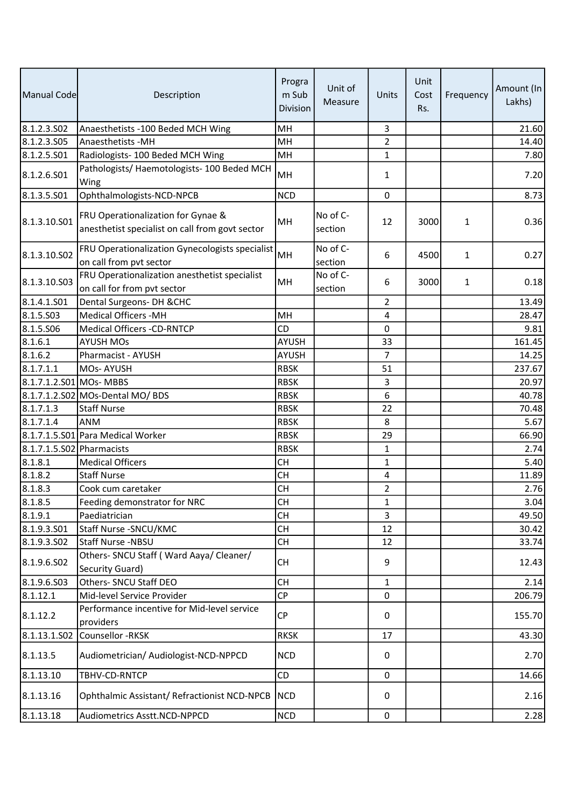| Manual Code               | Description                                                                           | Progra<br>m Sub<br><b>Division</b> | Unit of<br>Measure  | Units          | Unit<br>Cost<br>Rs. | Frequency    | Amount (In<br>Lakhs) |
|---------------------------|---------------------------------------------------------------------------------------|------------------------------------|---------------------|----------------|---------------------|--------------|----------------------|
| 8.1.2.3.502               | Anaesthetists -100 Beded MCH Wing                                                     | MH                                 |                     | 3              |                     |              | 21.60                |
| 8.1.2.3.S05               | Anaesthetists - MH                                                                    | MH                                 |                     | $\overline{2}$ |                     |              | 14.40                |
| 8.1.2.5.S01               | Radiologists-100 Beded MCH Wing                                                       | MH                                 |                     | 1              |                     |              | 7.80                 |
| 8.1.2.6.S01               | Pathologists/ Haemotologists- 100 Beded MCH<br>Wing                                   | MH                                 |                     | 1              |                     |              | 7.20                 |
| 8.1.3.5.501               | Ophthalmologists-NCD-NPCB                                                             | <b>NCD</b>                         |                     | 0              |                     |              | 8.73                 |
| 8.1.3.10.S01              | FRU Operationalization for Gynae &<br>anesthetist specialist on call from govt sector | MH                                 | No of C-<br>section | 12             | 3000                | $\mathbf{1}$ | 0.36                 |
| 8.1.3.10.S02              | FRU Operationalization Gynecologists specialist<br>on call from pvt sector            | MH                                 | No of C-<br>section | 6              | 4500                | $\mathbf{1}$ | 0.27                 |
| 8.1.3.10.503              | FRU Operationalization anesthetist specialist<br>on call for from pvt sector          | MH                                 | No of C-<br>section | 6              | 3000                | 1            | 0.18                 |
| 8.1.4.1.S01               | Dental Surgeons- DH & CHC                                                             |                                    |                     | $\overline{2}$ |                     |              | 13.49                |
| 8.1.5.503                 | Medical Officers - MH                                                                 | MH                                 |                     | 4              |                     |              | 28.47                |
| 8.1.5.506                 | <b>Medical Officers -CD-RNTCP</b>                                                     | <b>CD</b>                          |                     | 0              |                     |              | 9.81                 |
| 8.1.6.1                   | <b>AYUSH MOs</b>                                                                      | AYUSH                              |                     | 33             |                     |              | 161.45               |
| 8.1.6.2                   | Pharmacist - AYUSH                                                                    | <b>AYUSH</b>                       |                     | $\overline{7}$ |                     |              | 14.25                |
| 8.1.7.1.1                 | <b>MOs-AYUSH</b>                                                                      | <b>RBSK</b>                        |                     | 51             |                     |              | 237.67               |
| 8.1.7.1.2.S01 MOs- MBBS   |                                                                                       | <b>RBSK</b>                        |                     | 3              |                     |              | 20.97                |
|                           | 8.1.7.1.2.S02 MOs-Dental MO/ BDS                                                      | <b>RBSK</b>                        |                     | 6              |                     |              | 40.78                |
| 8.1.7.1.3                 | <b>Staff Nurse</b>                                                                    | <b>RBSK</b>                        |                     | 22             |                     |              | 70.48                |
| 8.1.7.1.4                 | <b>ANM</b>                                                                            | <b>RBSK</b>                        |                     | 8              |                     |              | 5.67                 |
|                           | 8.1.7.1.5.S01 Para Medical Worker                                                     | <b>RBSK</b>                        |                     | 29             |                     |              | 66.90                |
| 8.1.7.1.5.S02 Pharmacists |                                                                                       | <b>RBSK</b>                        |                     | 1              |                     |              | 2.74                 |
| 8.1.8.1                   | <b>Medical Officers</b>                                                               | <b>CH</b>                          |                     | $\mathbf{1}$   |                     |              | 5.40                 |
| 8.1.8.2                   | <b>Staff Nurse</b>                                                                    | <b>CH</b>                          |                     | 4              |                     |              | 11.89                |
| 8.1.8.3                   | Cook cum caretaker                                                                    | <b>CH</b>                          |                     | $\overline{2}$ |                     |              | 2.76                 |
| 8.1.8.5                   | Feeding demonstrator for NRC                                                          | <b>CH</b>                          |                     | $\mathbf{1}$   |                     |              | 3.04                 |
| 8.1.9.1                   | Paediatrician                                                                         | <b>CH</b>                          |                     | 3              |                     |              | 49.50                |
| 8.1.9.3.501               | Staff Nurse - SNCU/KMC                                                                | <b>CH</b>                          |                     | 12             |                     |              | 30.42                |
| 8.1.9.3.S02               | Staff Nurse -NBSU                                                                     | <b>CH</b>                          |                     | 12             |                     |              | 33.74                |
| 8.1.9.6.S02               | Others- SNCU Staff (Ward Aaya/ Cleaner/<br>Security Guard)                            | <b>CH</b>                          |                     | 9              |                     |              | 12.43                |
| 8.1.9.6.503               | Others- SNCU Staff DEO                                                                | <b>CH</b>                          |                     | $\mathbf{1}$   |                     |              | 2.14                 |
| 8.1.12.1                  | Mid-level Service Provider                                                            | <b>CP</b>                          |                     | 0              |                     |              | 206.79               |
| 8.1.12.2                  | Performance incentive for Mid-level service<br>providers                              | <b>CP</b>                          |                     | 0              |                     |              | 155.70               |
| 8.1.13.1.S02              | Counsellor -RKSK                                                                      | <b>RKSK</b>                        |                     | 17             |                     |              | 43.30                |
| 8.1.13.5                  | Audiometrician/ Audiologist-NCD-NPPCD                                                 | <b>NCD</b>                         |                     | 0              |                     |              | 2.70                 |
|                           |                                                                                       |                                    |                     |                |                     |              |                      |
| 8.1.13.10<br>8.1.13.16    | TBHV-CD-RNTCP<br>Ophthalmic Assistant/ Refractionist NCD-NPCB                         | CD<br><b>NCD</b>                   |                     | 0<br>0         |                     |              | 14.66<br>2.16        |
| 8.1.13.18                 | Audiometrics Asstt.NCD-NPPCD                                                          | <b>NCD</b>                         |                     | $\pmb{0}$      |                     |              | 2.28                 |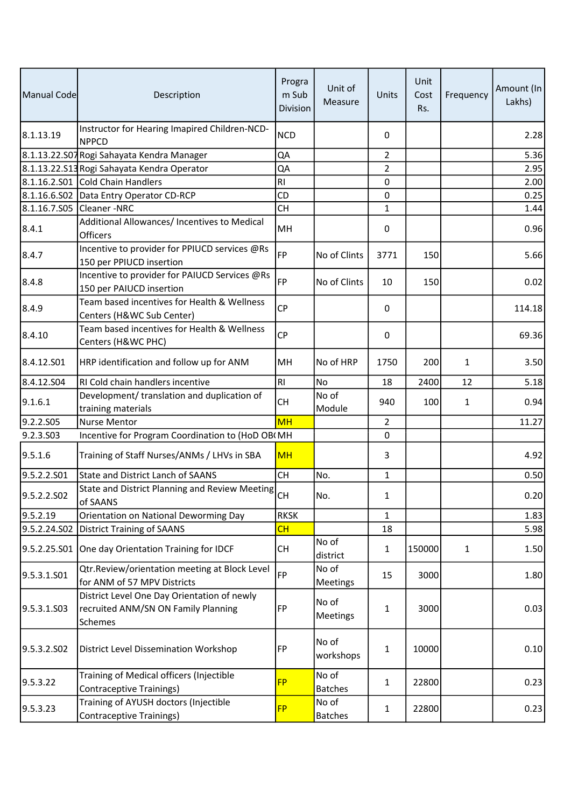| Manual Code  | Description                                                                                   | Progra<br>m Sub<br>Division | Unit of<br>Measure      | <b>Units</b>   | Unit<br>Cost<br>Rs. | Frequency    | Amount (In<br>Lakhs) |
|--------------|-----------------------------------------------------------------------------------------------|-----------------------------|-------------------------|----------------|---------------------|--------------|----------------------|
| 8.1.13.19    | Instructor for Hearing Imapired Children-NCD-<br><b>NPPCD</b>                                 | <b>NCD</b>                  |                         | 0              |                     |              | 2.28                 |
|              | 8.1.13.22.S07 Rogi Sahayata Kendra Manager                                                    | QA                          |                         | $\overline{2}$ |                     |              | 5.36                 |
|              | 8.1.13.22.S13 Rogi Sahayata Kendra Operator                                                   | QA                          |                         | $\overline{2}$ |                     |              | 2.95                 |
|              | 8.1.16.2.S01 Cold Chain Handlers                                                              | R <sub>l</sub>              |                         | 0              |                     |              | 2.00                 |
|              | 8.1.16.6.S02 Data Entry Operator CD-RCP                                                       | CD                          |                         | 0              |                     |              | 0.25                 |
|              | 8.1.16.7.S05 Cleaner -NRC                                                                     | <b>CH</b>                   |                         | $\mathbf{1}$   |                     |              | 1.44                 |
| 8.4.1        | Additional Allowances/ Incentives to Medical<br>Officers                                      | MH                          |                         | 0              |                     |              | 0.96                 |
| 8.4.7        | Incentive to provider for PPIUCD services @Rs<br>150 per PPIUCD insertion                     | <b>FP</b>                   | No of Clints            | 3771           | 150                 |              | 5.66                 |
| 8.4.8        | Incentive to provider for PAIUCD Services @Rs<br>150 per PAIUCD insertion                     | <b>FP</b>                   | No of Clints            | 10             | 150                 |              | 0.02                 |
| 8.4.9        | Team based incentives for Health & Wellness<br>Centers (H&WC Sub Center)                      | <b>CP</b>                   |                         | 0              |                     |              | 114.18               |
| 8.4.10       | Team based incentives for Health & Wellness<br>Centers (H&WC PHC)                             | <b>CP</b>                   |                         | 0              |                     |              | 69.36                |
| 8.4.12.501   | HRP identification and follow up for ANM                                                      | MН                          | No of HRP               | 1750           | 200                 | $\mathbf{1}$ | 3.50                 |
| 8.4.12.504   | RI Cold chain handlers incentive                                                              | R <sub>1</sub>              | No                      | 18             | 2400                | 12           | 5.18                 |
| 9.1.6.1      | Development/ translation and duplication of<br>training materials                             | <b>CH</b>                   | No of<br>Module         | 940            | 100                 | $\mathbf{1}$ | 0.94                 |
| 9.2.2.S05    | <b>Nurse Mentor</b>                                                                           | <b>MH</b>                   |                         | $\overline{2}$ |                     |              | 11.27                |
| 9.2.3.503    | Incentive for Program Coordination to (HoD OB(MH                                              |                             |                         | 0              |                     |              |                      |
| 9.5.1.6      | Training of Staff Nurses/ANMs / LHVs in SBA                                                   | <b>MH</b>                   |                         | 3              |                     |              | 4.92                 |
| 9.5.2.2.S01  | <b>State and District Lanch of SAANS</b>                                                      | <b>CH</b>                   | No.                     | 1              |                     |              | 0.50                 |
| 9.5.2.2.502  | State and District Planning and Review Meeting<br>of SAANS                                    | <b>CH</b>                   | INo.                    | 1              |                     |              | 0.20                 |
| 9.5.2.19     | Orientation on National Deworming Day                                                         | <b>RKSK</b>                 |                         | $\mathbf{1}$   |                     |              | 1.83                 |
| 9.5.2.24.SO2 | <b>District Training of SAANS</b>                                                             | CH                          |                         | 18             |                     |              | 5.98                 |
|              | 9.5.2.25.S01 One day Orientation Training for IDCF                                            | <b>CH</b>                   | No of<br>district       | $\mathbf{1}$   | 150000              | $\mathbf{1}$ | 1.50                 |
| 9.5.3.1.S01  | Qtr.Review/orientation meeting at Block Level<br>for ANM of 57 MPV Districts                  | <b>FP</b>                   | No of<br>Meetings       | 15             | 3000                |              | 1.80                 |
| 9.5.3.1.503  | District Level One Day Orientation of newly<br>recruited ANM/SN ON Family Planning<br>Schemes | FP                          | No of<br>Meetings       | 1              | 3000                |              | 0.03                 |
| 9.5.3.2.SO2  | District Level Dissemination Workshop                                                         | FP                          | No of<br>workshops      | 1              | 10000               |              | 0.10                 |
| 9.5.3.22     | Training of Medical officers (Injectible<br><b>Contraceptive Trainings)</b>                   | <b>FP</b>                   | No of<br><b>Batches</b> | $\mathbf{1}$   | 22800               |              | 0.23                 |
| 9.5.3.23     | Training of AYUSH doctors (Injectible<br><b>Contraceptive Trainings)</b>                      | <b>FP</b>                   | No of<br><b>Batches</b> | 1              | 22800               |              | 0.23                 |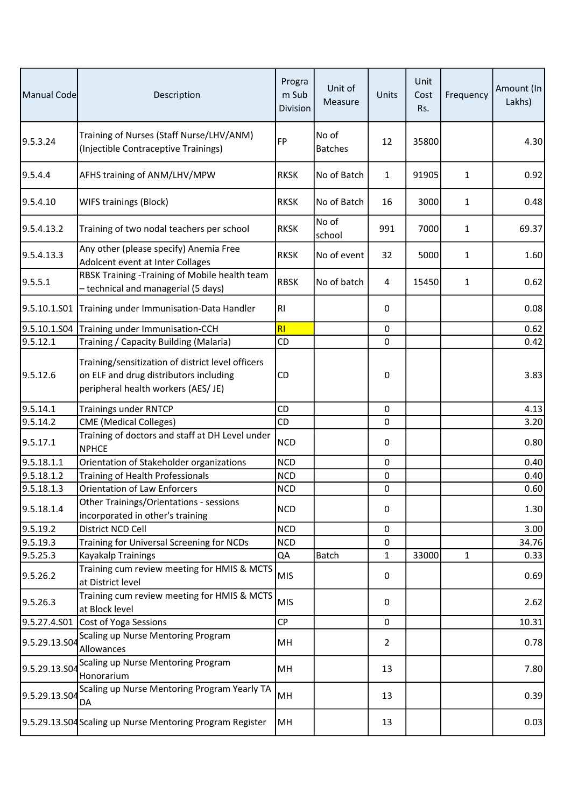| Manual Code   | Description                                                                                                                        | Progra<br>m Sub<br>Division | Unit of<br>Measure      | Units        | Unit<br>Cost<br>Rs. | Frequency    | Amount (In<br>Lakhs) |
|---------------|------------------------------------------------------------------------------------------------------------------------------------|-----------------------------|-------------------------|--------------|---------------------|--------------|----------------------|
| 9.5.3.24      | Training of Nurses (Staff Nurse/LHV/ANM)<br>(Injectible Contraceptive Trainings)                                                   | <b>FP</b>                   | No of<br><b>Batches</b> | 12           | 35800               |              | 4.30                 |
| 9.5.4.4       | AFHS training of ANM/LHV/MPW                                                                                                       | <b>RKSK</b>                 | No of Batch             | $\mathbf{1}$ | 91905               | 1            | 0.92                 |
| 9.5.4.10      | <b>WIFS trainings (Block)</b>                                                                                                      | <b>RKSK</b>                 | No of Batch             | 16           | 3000                | 1            | 0.48                 |
| 9.5.4.13.2    | Training of two nodal teachers per school                                                                                          | <b>RKSK</b>                 | No of<br>school         | 991          | 7000                | 1            | 69.37                |
| 9.5.4.13.3    | Any other (please specify) Anemia Free<br>Adolcent event at Inter Collages                                                         | <b>RKSK</b>                 | No of event             | 32           | 5000                | 1            | 1.60                 |
| 9.5.5.1       | RBSK Training -Training of Mobile health team<br>- technical and managerial (5 days)                                               | <b>RBSK</b>                 | No of batch             | 4            | 15450               | $\mathbf{1}$ | 0.62                 |
| 9.5.10.1.S01  | Training under Immunisation-Data Handler                                                                                           | R <sub>l</sub>              |                         | 0            |                     |              | 0.08                 |
| 9.5.10.1.S04  | Training under Immunisation-CCH                                                                                                    | RI                          |                         | $\pmb{0}$    |                     |              | 0.62                 |
| 9.5.12.1      | Training / Capacity Building (Malaria)                                                                                             | CD                          |                         | 0            |                     |              | 0.42                 |
| 9.5.12.6      | Training/sensitization of district level officers<br>on ELF and drug distributors including<br>peripheral health workers (AES/ JE) | CD                          |                         | 0            |                     |              | 3.83                 |
| 9.5.14.1      | <b>Trainings under RNTCP</b>                                                                                                       | CD                          |                         | $\pmb{0}$    |                     |              | 4.13                 |
| 9.5.14.2      | <b>CME</b> (Medical Colleges)                                                                                                      | <b>CD</b>                   |                         | 0            |                     |              | 3.20                 |
| 9.5.17.1      | Training of doctors and staff at DH Level under<br><b>NPHCE</b>                                                                    | <b>NCD</b>                  |                         | 0            |                     |              | 0.80                 |
| 9.5.18.1.1    | Orientation of Stakeholder organizations                                                                                           | <b>NCD</b>                  |                         | 0            |                     |              | 0.40                 |
| 9.5.18.1.2    | Training of Health Professionals                                                                                                   | <b>NCD</b>                  |                         | $\pmb{0}$    |                     |              | 0.40                 |
| 9.5.18.1.3    | <b>Orientation of Law Enforcers</b>                                                                                                | <b>NCD</b>                  |                         | 0            |                     |              | 0.60                 |
| 9.5.18.1.4    | Other Trainings/Orientations - sessions<br>incorporated in other's training                                                        | <b>NCD</b>                  |                         | 0            |                     |              | 1.30                 |
| 9.5.19.2      | District NCD Cell                                                                                                                  | <b>NCD</b>                  |                         | 0            |                     |              | 3.00                 |
| 9.5.19.3      | Training for Universal Screening for NCDs                                                                                          | <b>NCD</b>                  |                         | 0            |                     |              | 34.76                |
| 9.5.25.3      | Kayakalp Trainings                                                                                                                 | QA                          | <b>Batch</b>            | $\mathbf{1}$ | 33000               | $\mathbf{1}$ | 0.33                 |
| 9.5.26.2      | Training cum review meeting for HMIS & MCTS<br>at District level                                                                   | <b>MIS</b>                  |                         | 0            |                     |              | 0.69                 |
| 9.5.26.3      | Training cum review meeting for HMIS & MCTS<br>at Block level                                                                      | <b>MIS</b>                  |                         | $\pmb{0}$    |                     |              | 2.62                 |
|               | 9.5.27.4.S01 Cost of Yoga Sessions                                                                                                 | <b>CP</b>                   |                         | 0            |                     |              | 10.31                |
| 9.5.29.13.S04 | Scaling up Nurse Mentoring Program<br>Allowances                                                                                   | MН                          |                         | 2            |                     |              | 0.78                 |
| 9.5.29.13.SO4 | Scaling up Nurse Mentoring Program<br>Honorarium                                                                                   | MH                          |                         | 13           |                     |              | 7.80                 |
| 9.5.29.13.SO4 | Scaling up Nurse Mentoring Program Yearly TA<br>DA                                                                                 | MH                          |                         | 13           |                     |              | 0.39                 |
|               | 9.5.29.13.S04 Scaling up Nurse Mentoring Program Register                                                                          | MH                          |                         | 13           |                     |              | 0.03                 |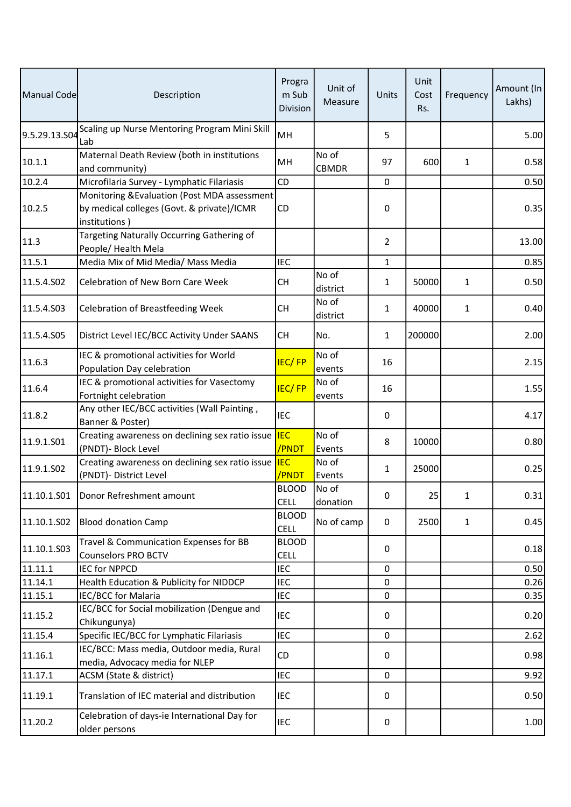| Manual Code   | Description                                                                                                 | Progra<br>m Sub<br>Division | Unit of<br>Measure    | Units          | Unit<br>Cost<br>Rs. | Frequency    | Amount (In<br>Lakhs) |
|---------------|-------------------------------------------------------------------------------------------------------------|-----------------------------|-----------------------|----------------|---------------------|--------------|----------------------|
| 9.5.29.13.S04 | Scaling up Nurse Mentoring Program Mini Skill<br>Lab                                                        | MH                          |                       | 5              |                     |              | 5.00                 |
| 10.1.1        | Maternal Death Review (both in institutions<br>and community)                                               | MH                          | No of<br><b>CBMDR</b> | 97             | 600                 | $\mathbf{1}$ | 0.58                 |
| 10.2.4        | Microfilaria Survey - Lymphatic Filariasis                                                                  | <b>CD</b>                   |                       | 0              |                     |              | 0.50                 |
| 10.2.5        | Monitoring & Evaluation (Post MDA assessment<br>by medical colleges (Govt. & private)/ICMR<br>institutions) | CD                          |                       | 0              |                     |              | 0.35                 |
| 11.3          | Targeting Naturally Occurring Gathering of<br>People/ Health Mela                                           |                             |                       | $\overline{2}$ |                     |              | 13.00                |
| 11.5.1        | Media Mix of Mid Media/ Mass Media                                                                          | <b>IEC</b>                  |                       | $\mathbf{1}$   |                     |              | 0.85                 |
| 11.5.4.S02    | Celebration of New Born Care Week                                                                           | <b>CH</b>                   | No of<br>district     | $\mathbf{1}$   | 50000               | $\mathbf{1}$ | 0.50                 |
| 11.5.4.S03    | <b>Celebration of Breastfeeding Week</b>                                                                    | <b>CH</b>                   | No of<br>district     | $\mathbf{1}$   | 40000               | $\mathbf{1}$ | 0.40                 |
| 11.5.4.S05    | District Level IEC/BCC Activity Under SAANS                                                                 | <b>CH</b>                   | No.                   | 1              | 200000              |              | 2.00                 |
| 11.6.3        | IEC & promotional activities for World<br>Population Day celebration                                        | <b>IEC/FP</b>               | No of<br>events       | 16             |                     |              | 2.15                 |
| 11.6.4        | IEC & promotional activities for Vasectomy<br>Fortnight celebration                                         | <b>IEC/FP</b>               | No of<br>events       | 16             |                     |              | 1.55                 |
| 11.8.2        | Any other IEC/BCC activities (Wall Painting,<br>Banner & Poster)                                            | IEC                         |                       | 0              |                     |              | 4.17                 |
| 11.9.1.S01    | Creating awareness on declining sex ratio issue<br>(PNDT)- Block Level                                      | <b>IEC</b><br>/PNDT         | No of<br>Events       | 8              | 10000               |              | 0.80                 |
| 11.9.1.S02    | Creating awareness on declining sex ratio issue<br>(PNDT)- District Level                                   | <b>IEC</b><br>/PNDT         | No of<br>Events       | $\mathbf{1}$   | 25000               |              | 0.25                 |
|               | 11.10.1.S01   Donor Refreshment amount                                                                      | <b>BLOOD</b><br><b>CELL</b> | No of<br>donation     | 0              | 25                  | 1            | 0.31                 |
| 11.10.1.S02   | <b>Blood donation Camp</b>                                                                                  | <b>BLOOD</b><br><b>CELL</b> | No of camp            | 0              | 2500                | $\mathbf{1}$ | 0.45                 |
| 11.10.1.503   | Travel & Communication Expenses for BB<br><b>Counselors PRO BCTV</b>                                        | <b>BLOOD</b><br><b>CELL</b> |                       | 0              |                     |              | 0.18                 |
| 11.11.1       | <b>IEC for NPPCD</b>                                                                                        | <b>IEC</b>                  |                       | 0              |                     |              | 0.50                 |
| 11.14.1       | Health Education & Publicity for NIDDCP                                                                     | <b>IEC</b>                  |                       | 0              |                     |              | 0.26                 |
| 11.15.1       | IEC/BCC for Malaria                                                                                         | <b>IEC</b>                  |                       | 0              |                     |              | 0.35                 |
| 11.15.2       | IEC/BCC for Social mobilization (Dengue and<br>Chikungunya)                                                 | <b>IEC</b>                  |                       | 0              |                     |              | 0.20                 |
| 11.15.4       | Specific IEC/BCC for Lymphatic Filariasis                                                                   | <b>IEC</b>                  |                       | 0              |                     |              | 2.62                 |
| 11.16.1       | IEC/BCC: Mass media, Outdoor media, Rural<br>media, Advocacy media for NLEP                                 | CD                          |                       | 0              |                     |              | 0.98                 |
| 11.17.1       | ACSM (State & district)                                                                                     | <b>IEC</b>                  |                       | 0              |                     |              | 9.92                 |
| 11.19.1       | Translation of IEC material and distribution                                                                | <b>IEC</b>                  |                       | 0              |                     |              | 0.50                 |
| 11.20.2       | Celebration of days-ie International Day for<br>older persons                                               | <b>IEC</b>                  |                       | 0              |                     |              | 1.00                 |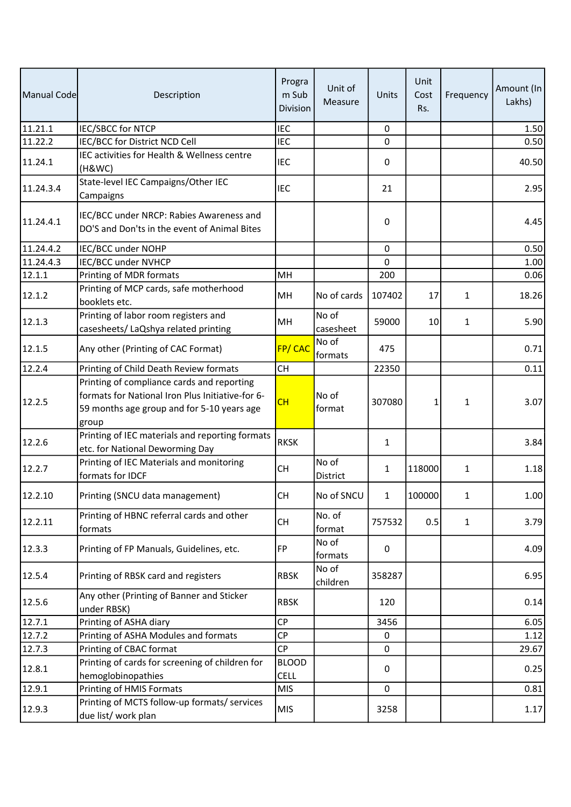| Manual Code | Description                                                                                                                                           | Progra<br>m Sub<br>Division | Unit of<br>Measure | Units        | Unit<br>Cost<br>Rs. | Frequency    | Amount (In<br>Lakhs) |
|-------------|-------------------------------------------------------------------------------------------------------------------------------------------------------|-----------------------------|--------------------|--------------|---------------------|--------------|----------------------|
| 11.21.1     | <b>IEC/SBCC for NTCP</b>                                                                                                                              | <b>IEC</b>                  |                    | $\mathbf 0$  |                     |              | 1.50                 |
| 11.22.2     | IEC/BCC for District NCD Cell                                                                                                                         | <b>IEC</b>                  |                    | 0            |                     |              | 0.50                 |
| 11.24.1     | IEC activities for Health & Wellness centre<br>(H&WC)                                                                                                 | <b>IEC</b>                  |                    | 0            |                     |              | 40.50                |
| 11.24.3.4   | State-level IEC Campaigns/Other IEC<br>Campaigns                                                                                                      | <b>IEC</b>                  |                    | 21           |                     |              | 2.95                 |
| 11.24.4.1   | IEC/BCC under NRCP: Rabies Awareness and<br>DO'S and Don'ts in the event of Animal Bites                                                              |                             |                    | 0            |                     |              | 4.45                 |
| 11.24.4.2   | IEC/BCC under NOHP                                                                                                                                    |                             |                    | 0            |                     |              | 0.50                 |
| 11.24.4.3   | <b>IEC/BCC under NVHCP</b>                                                                                                                            |                             |                    | 0            |                     |              | 1.00                 |
| 12.1.1      | Printing of MDR formats                                                                                                                               | MH                          |                    | 200          |                     |              | 0.06                 |
| 12.1.2      | Printing of MCP cards, safe motherhood<br>booklets etc.                                                                                               | MH                          | No of cards        | 107402       | 17                  | 1            | 18.26                |
| 12.1.3      | Printing of labor room registers and<br>casesheets/ LaQshya related printing                                                                          | MH                          | No of<br>casesheet | 59000        | 10                  | $\mathbf{1}$ | 5.90                 |
| 12.1.5      | Any other (Printing of CAC Format)                                                                                                                    | <b>FP/CAC</b>               | No of<br>formats   | 475          |                     |              | 0.71                 |
| 12.2.4      | Printing of Child Death Review formats                                                                                                                | <b>CH</b>                   |                    | 22350        |                     |              | 0.11                 |
| 12.2.5      | Printing of compliance cards and reporting<br>formats for National Iron Plus Initiative-for 6-<br>59 months age group and for 5-10 years age<br>group | CH                          | No of<br>format    | 307080       | 1                   | $\mathbf{1}$ | 3.07                 |
| 12.2.6      | Printing of IEC materials and reporting formats<br>etc. for National Deworming Day                                                                    | <b>RKSK</b>                 |                    | $\mathbf{1}$ |                     |              | 3.84                 |
| 12.2.7      | Printing of IEC Materials and monitoring<br>formats for IDCF                                                                                          | <b>CH</b>                   | No of<br>District  | $\mathbf{1}$ | 118000              | $\mathbf{1}$ | 1.18                 |
| 12.2.10     | Printing (SNCU data management)                                                                                                                       | <b>CH</b>                   | No of SNCU         | $\mathbf{1}$ | 100000              | 1            | 1.00 <sub>l</sub>    |
| 12.2.11     | Printing of HBNC referral cards and other<br>formats                                                                                                  | <b>CH</b>                   | No. of<br>format   | 757532       | 0.5                 | $\mathbf{1}$ | 3.79                 |
| 12.3.3      | Printing of FP Manuals, Guidelines, etc.                                                                                                              | <b>FP</b>                   | No of<br>formats   | 0            |                     |              | 4.09                 |
| 12.5.4      | Printing of RBSK card and registers                                                                                                                   | <b>RBSK</b>                 | No of<br>children  | 358287       |                     |              | 6.95                 |
| 12.5.6      | Any other (Printing of Banner and Sticker<br>under RBSK)                                                                                              | <b>RBSK</b>                 |                    | 120          |                     |              | 0.14                 |
| 12.7.1      | Printing of ASHA diary                                                                                                                                | <b>CP</b>                   |                    | 3456         |                     |              | 6.05                 |
| 12.7.2      | Printing of ASHA Modules and formats                                                                                                                  | <b>CP</b>                   |                    | 0            |                     |              | 1.12                 |
| 12.7.3      | Printing of CBAC format                                                                                                                               | <b>CP</b>                   |                    | 0            |                     |              | 29.67                |
| 12.8.1      | Printing of cards for screening of children for<br>hemoglobinopathies                                                                                 | <b>BLOOD</b><br><b>CELL</b> |                    | 0            |                     |              | 0.25                 |
| 12.9.1      | Printing of HMIS Formats                                                                                                                              | <b>MIS</b>                  |                    | 0            |                     |              | 0.81                 |
| 12.9.3      | Printing of MCTS follow-up formats/ services<br>due list/ work plan                                                                                   | <b>MIS</b>                  |                    | 3258         |                     |              | 1.17                 |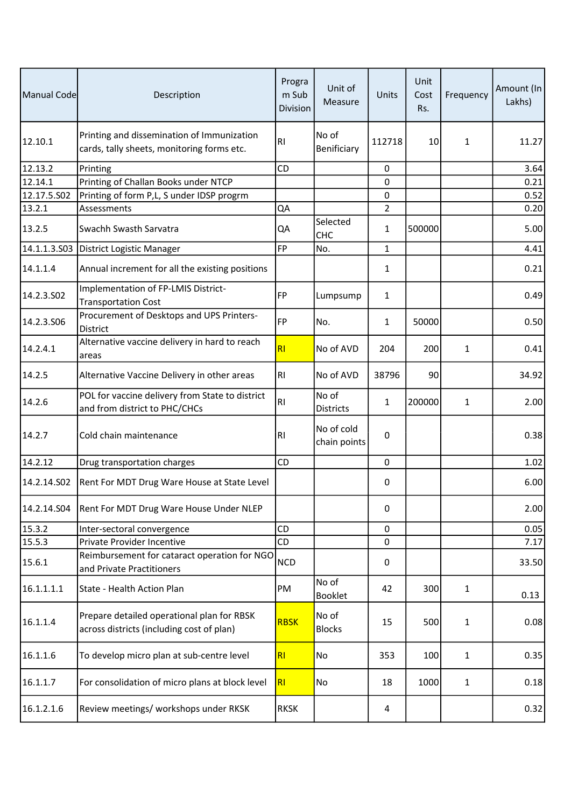| Manual Code  | Description                                                                              | Progra<br>m Sub<br>Division | Unit of<br>Measure         | Units          | Unit<br>Cost<br>Rs. | Frequency    | Amount (In<br>Lakhs) |
|--------------|------------------------------------------------------------------------------------------|-----------------------------|----------------------------|----------------|---------------------|--------------|----------------------|
| 12.10.1      | Printing and dissemination of Immunization<br>cards, tally sheets, monitoring forms etc. | R <sub>l</sub>              | No of<br>Benificiary       | 112718         | 10                  | $\mathbf{1}$ | 11.27                |
| 12.13.2      | Printing                                                                                 | <b>CD</b>                   |                            | 0              |                     |              | 3.64                 |
| 12.14.1      | Printing of Challan Books under NTCP                                                     |                             |                            | 0              |                     |              | 0.21                 |
| 12.17.5.S02  | Printing of form P,L, S under IDSP progrm                                                |                             |                            | 0              |                     |              | 0.52                 |
| 13.2.1       | Assessments                                                                              | QA                          |                            | $\overline{2}$ |                     |              | 0.20                 |
| 13.2.5       | Swachh Swasth Sarvatra                                                                   | QA                          | Selected<br><b>CHC</b>     | 1              | 500000              |              | 5.00                 |
| 14.1.1.3.S03 | District Logistic Manager                                                                | <b>FP</b>                   | No.                        | $\mathbf{1}$   |                     |              | 4.41                 |
| 14.1.1.4     | Annual increment for all the existing positions                                          |                             |                            | $\mathbf{1}$   |                     |              | 0.21                 |
| 14.2.3.502   | Implementation of FP-LMIS District-<br><b>Transportation Cost</b>                        | <b>FP</b>                   | Lumpsump                   | 1              |                     |              | 0.49                 |
| 14.2.3.S06   | Procurement of Desktops and UPS Printers-<br><b>District</b>                             | <b>FP</b>                   | No.                        | $\mathbf{1}$   | 50000               |              | 0.50                 |
| 14.2.4.1     | Alternative vaccine delivery in hard to reach<br>areas                                   | RI                          | No of AVD                  | 204            | 200                 | 1            | 0.41                 |
| 14.2.5       | Alternative Vaccine Delivery in other areas                                              | R <sub>1</sub>              | No of AVD                  | 38796          | 90                  |              | 34.92                |
| 14.2.6       | POL for vaccine delivery from State to district<br>and from district to PHC/CHCs         | RI                          | No of<br><b>Districts</b>  | $\mathbf{1}$   | 200000              | $\mathbf{1}$ | 2.00                 |
| 14.2.7       | Cold chain maintenance                                                                   | R <sub>l</sub>              | No of cold<br>chain points | 0              |                     |              | 0.38                 |
| 14.2.12      | Drug transportation charges                                                              | CD                          |                            | $\mathbf 0$    |                     |              | 1.02                 |
| 14.2.14.S02  | Rent For MDT Drug Ware House at State Level                                              |                             |                            | 0              |                     |              | 6.00                 |
| 14.2.14.504  | Rent For MDT Drug Ware House Under NLEP                                                  |                             |                            | 0              |                     |              | 2.00                 |
| 15.3.2       | Inter-sectoral convergence                                                               | <b>CD</b>                   |                            | 0              |                     |              | 0.05                 |
| 15.5.3       | Private Provider Incentive                                                               | CD                          |                            | 0              |                     |              | 7.17                 |
| 15.6.1       | Reimbursement for cataract operation for NGO<br>and Private Practitioners                | NCD                         |                            | 0              |                     |              | 33.50                |
| 16.1.1.1.1   | State - Health Action Plan                                                               | PM                          | No of<br>Booklet           | 42             | 300                 | $\mathbf{1}$ | 0.13                 |
| 16.1.1.4     | Prepare detailed operational plan for RBSK<br>across districts (including cost of plan)  | <b>RBSK</b>                 | No of<br><b>Blocks</b>     | 15             | 500                 | 1            | 0.08                 |
| 16.1.1.6     | To develop micro plan at sub-centre level                                                | RI                          | No                         | 353            | 100                 | $\mathbf{1}$ | 0.35                 |
| 16.1.1.7     | For consolidation of micro plans at block level                                          | RI                          | No                         | 18             | 1000                | $\mathbf{1}$ | 0.18                 |
| 16.1.2.1.6   | Review meetings/ workshops under RKSK                                                    | <b>RKSK</b>                 |                            | 4              |                     |              | 0.32                 |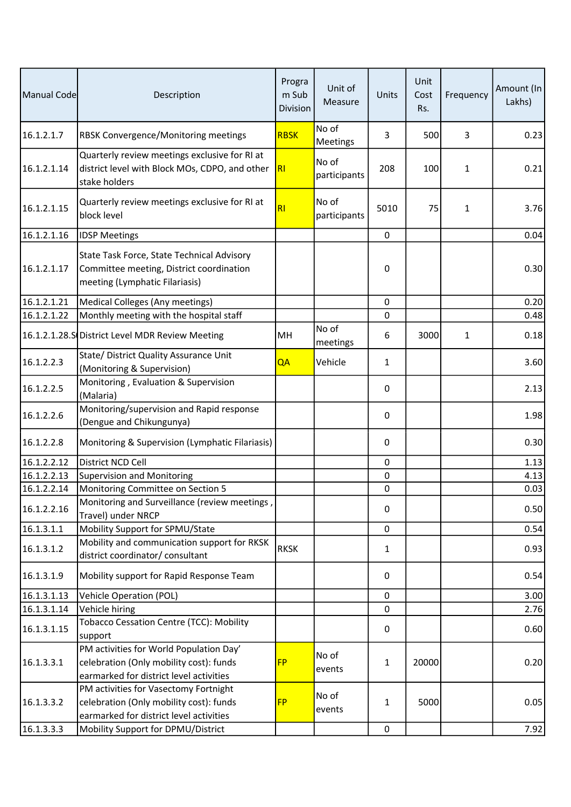| Manual Code | Description                                                                                                                   | Progra<br>m Sub<br>Division | Unit of<br>Measure    | Units        | Unit<br>Cost<br>Rs. | Frequency | Amount (In<br>Lakhs) |
|-------------|-------------------------------------------------------------------------------------------------------------------------------|-----------------------------|-----------------------|--------------|---------------------|-----------|----------------------|
| 16.1.2.1.7  | RBSK Convergence/Monitoring meetings                                                                                          | <b>RBSK</b>                 | No of<br>Meetings     | 3            | 500                 | 3         | 0.23                 |
| 16.1.2.1.14 | Quarterly review meetings exclusive for RI at<br>district level with Block MOs, CDPO, and other<br>stake holders              | RI                          | No of<br>participants | 208          | 100                 | 1         | 0.21                 |
| 16.1.2.1.15 | Quarterly review meetings exclusive for RI at<br>block level                                                                  | RI                          | No of<br>participants | 5010         | 75                  | 1         | 3.76                 |
| 16.1.2.1.16 | <b>IDSP Meetings</b>                                                                                                          |                             |                       | $\pmb{0}$    |                     |           | 0.04                 |
| 16.1.2.1.17 | State Task Force, State Technical Advisory<br>Committee meeting, District coordination<br>meeting (Lymphatic Filariasis)      |                             |                       | 0            |                     |           | 0.30                 |
| 16.1.2.1.21 | Medical Colleges (Any meetings)                                                                                               |                             |                       | 0            |                     |           | 0.20                 |
| 16.1.2.1.22 | Monthly meeting with the hospital staff                                                                                       |                             |                       | 0            |                     |           | 0.48                 |
|             | 16.1.2.1.28.S District Level MDR Review Meeting                                                                               | MH                          | No of<br>meetings     | 6            | 3000                | 1         | 0.18                 |
| 16.1.2.2.3  | State/ District Quality Assurance Unit<br>(Monitoring & Supervision)                                                          | QA                          | Vehicle               | $\mathbf{1}$ |                     |           | 3.60                 |
| 16.1.2.2.5  | Monitoring, Evaluation & Supervision<br>(Malaria)                                                                             |                             |                       | 0            |                     |           | 2.13                 |
| 16.1.2.2.6  | Monitoring/supervision and Rapid response<br>(Dengue and Chikungunya)                                                         |                             |                       | 0            |                     |           | 1.98                 |
| 16.1.2.2.8  | Monitoring & Supervision (Lymphatic Filariasis)                                                                               |                             |                       | 0            |                     |           | 0.30                 |
| 16.1.2.2.12 | District NCD Cell                                                                                                             |                             |                       | $\mathbf 0$  |                     |           | 1.13                 |
| 16.1.2.2.13 | Supervision and Monitoring                                                                                                    |                             |                       | 0            |                     |           | 4.13                 |
| 16.1.2.2.14 | Monitoring Committee on Section 5                                                                                             |                             |                       | 0            |                     |           | 0.03                 |
| 16.1.2.2.16 | Monitoring and Surveillance (review meetings,<br>Travel) under NRCP                                                           |                             |                       | 0            |                     |           | 0.50                 |
| 16.1.3.1.1  | Mobility Support for SPMU/State                                                                                               |                             |                       | 0            |                     |           | 0.54                 |
| 16.1.3.1.2  | Mobility and communication support for RKSK<br>district coordinator/ consultant                                               | <b>RKSK</b>                 |                       | $\mathbf{1}$ |                     |           | 0.93                 |
| 16.1.3.1.9  | Mobility support for Rapid Response Team                                                                                      |                             |                       | 0            |                     |           | 0.54                 |
| 16.1.3.1.13 | <b>Vehicle Operation (POL)</b>                                                                                                |                             |                       | $\mathbf 0$  |                     |           | 3.00                 |
| 16.1.3.1.14 | Vehicle hiring                                                                                                                |                             |                       | 0            |                     |           | 2.76                 |
| 16.1.3.1.15 | Tobacco Cessation Centre (TCC): Mobility<br>support                                                                           |                             |                       | $\pmb{0}$    |                     |           | 0.60                 |
| 16.1.3.3.1  | PM activities for World Population Day'<br>celebration (Only mobility cost): funds<br>earmarked for district level activities | <b>FP</b>                   | No of<br>events       | $\mathbf{1}$ | 20000               |           | 0.20                 |
| 16.1.3.3.2  | PM activities for Vasectomy Fortnight<br>celebration (Only mobility cost): funds<br>earmarked for district level activities   | <b>FP</b>                   | No of<br>events       | $\mathbf{1}$ | 5000                |           | 0.05                 |
| 16.1.3.3.3  | Mobility Support for DPMU/District                                                                                            |                             |                       | $\pmb{0}$    |                     |           | 7.92                 |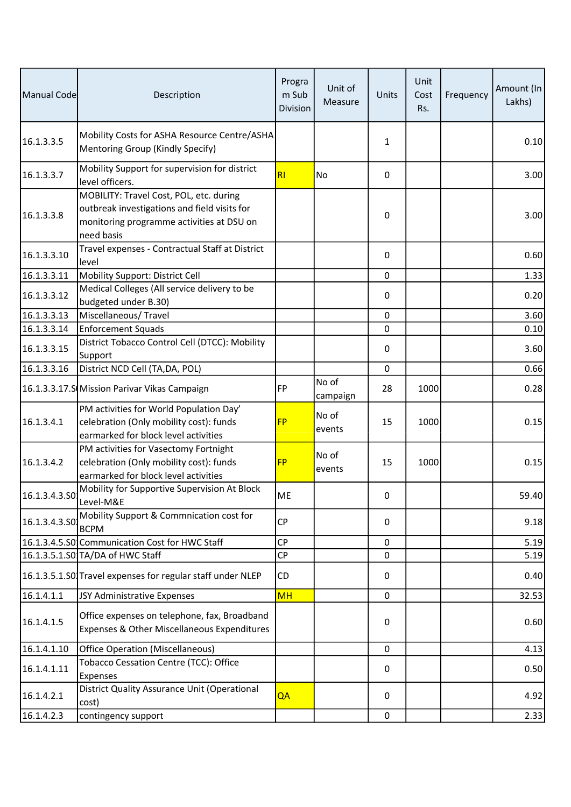| Manual Code   | Description                                                                                                                                        | Progra<br>m Sub<br><b>Division</b> | Unit of<br>Measure | Units        | Unit<br>Cost<br>Rs. | Frequency | Amount (In<br>Lakhs) |
|---------------|----------------------------------------------------------------------------------------------------------------------------------------------------|------------------------------------|--------------------|--------------|---------------------|-----------|----------------------|
| 16.1.3.3.5    | Mobility Costs for ASHA Resource Centre/ASHA<br>Mentoring Group (Kindly Specify)                                                                   |                                    |                    | $\mathbf{1}$ |                     |           | 0.10                 |
| 16.1.3.3.7    | Mobility Support for supervision for district<br>level officers.                                                                                   | RI                                 | No                 | 0            |                     |           | 3.00                 |
| 16.1.3.3.8    | MOBILITY: Travel Cost, POL, etc. during<br>outbreak investigations and field visits for<br>monitoring programme activities at DSU on<br>need basis |                                    |                    | 0            |                     |           | 3.00                 |
| 16.1.3.3.10   | Travel expenses - Contractual Staff at District<br>level                                                                                           |                                    |                    | 0            |                     |           | 0.60                 |
| 16.1.3.3.11   | Mobility Support: District Cell                                                                                                                    |                                    |                    | 0            |                     |           | 1.33                 |
| 16.1.3.3.12   | Medical Colleges (All service delivery to be<br>budgeted under B.30)                                                                               |                                    |                    | 0            |                     |           | 0.20                 |
| 16.1.3.3.13   | Miscellaneous/Travel                                                                                                                               |                                    |                    | 0            |                     |           | 3.60                 |
| 16.1.3.3.14   | <b>Enforcement Squads</b>                                                                                                                          |                                    |                    | 0            |                     |           | 0.10                 |
| 16.1.3.3.15   | District Tobacco Control Cell (DTCC): Mobility<br>Support                                                                                          |                                    |                    | 0            |                     |           | 3.60                 |
| 16.1.3.3.16   | District NCD Cell (TA, DA, POL)                                                                                                                    |                                    |                    | 0            |                     |           | 0.66                 |
|               | 16.1.3.3.17.S Mission Parivar Vikas Campaign                                                                                                       | <b>FP</b>                          | No of<br>campaign  | 28           | 1000                |           | 0.28                 |
| 16.1.3.4.1    | PM activities for World Population Day'<br>celebration (Only mobility cost): funds<br>earmarked for block level activities                         | <b>FP</b>                          | No of<br>events    | 15           | 1000                |           | 0.15                 |
| 16.1.3.4.2    | PM activities for Vasectomy Fortnight<br>celebration (Only mobility cost): funds<br>earmarked for block level activities                           | <b>FP</b>                          | No of<br>events    | 15           | 1000                |           | 0.15                 |
| 16.1.3.4.3.50 | Mobility for Supportive Supervision At Block<br>Level-M&E                                                                                          | ME                                 |                    | 0            |                     |           | 59.40                |
| 16.1.3.4.3.50 | Mobility Support & Commnication cost for<br><b>BCPM</b>                                                                                            | <b>CP</b>                          |                    | 0            |                     |           | 9.18                 |
|               | 16.1.3.4.5.S0 Communication Cost for HWC Staff                                                                                                     | CP                                 |                    | 0            |                     |           | 5.19                 |
|               | 16.1.3.5.1.S0 TA/DA of HWC Staff                                                                                                                   | <b>CP</b>                          |                    | 0            |                     |           | 5.19                 |
|               | 16.1.3.5.1.SO Travel expenses for regular staff under NLEP                                                                                         | CD                                 |                    | 0            |                     |           | 0.40                 |
| 16.1.4.1.1    | JSY Administrative Expenses                                                                                                                        | <b>MH</b>                          |                    | 0            |                     |           | 32.53                |
| 16.1.4.1.5    | Office expenses on telephone, fax, Broadband<br>Expenses & Other Miscellaneous Expenditures                                                        |                                    |                    | 0            |                     |           | 0.60                 |
| 16.1.4.1.10   | <b>Office Operation (Miscellaneous)</b>                                                                                                            |                                    |                    | 0            |                     |           | 4.13                 |
| 16.1.4.1.11   | Tobacco Cessation Centre (TCC): Office<br>Expenses                                                                                                 |                                    |                    | 0            |                     |           | 0.50                 |
| 16.1.4.2.1    | District Quality Assurance Unit (Operational<br>cost)                                                                                              | QA                                 |                    | 0            |                     |           | 4.92                 |
| 16.1.4.2.3    | contingency support                                                                                                                                |                                    |                    | 0            |                     |           | 2.33                 |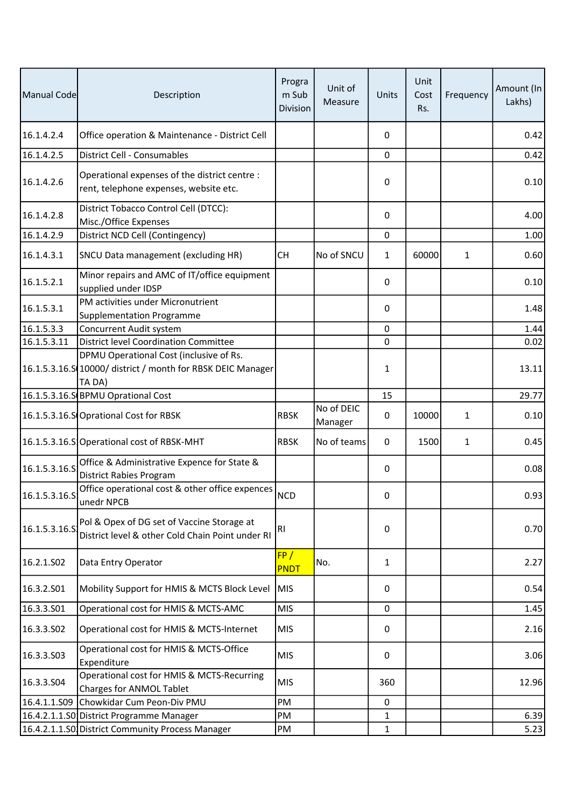| Manual Code   | Description                                                                                                      | Progra<br>m Sub<br>Division | Unit of<br>Measure    | Units        | Unit<br>Cost<br>Rs. | Frequency    | Amount (In<br>Lakhs) |
|---------------|------------------------------------------------------------------------------------------------------------------|-----------------------------|-----------------------|--------------|---------------------|--------------|----------------------|
| 16.1.4.2.4    | Office operation & Maintenance - District Cell                                                                   |                             |                       | 0            |                     |              | 0.42                 |
| 16.1.4.2.5    | District Cell - Consumables                                                                                      |                             |                       | 0            |                     |              | 0.42                 |
| 16.1.4.2.6    | Operational expenses of the district centre :<br>rent, telephone expenses, website etc.                          |                             |                       | 0            |                     |              | 0.10                 |
| 16.1.4.2.8    | District Tobacco Control Cell (DTCC):<br>Misc./Office Expenses                                                   |                             |                       | 0            |                     |              | 4.00                 |
| 16.1.4.2.9    | District NCD Cell (Contingency)                                                                                  |                             |                       | $\pmb{0}$    |                     |              | 1.00                 |
| 16.1.4.3.1    | SNCU Data management (excluding HR)                                                                              | <b>CH</b>                   | No of SNCU            | $\mathbf{1}$ | 60000               | $\mathbf{1}$ | 0.60                 |
| 16.1.5.2.1    | Minor repairs and AMC of IT/office equipment<br>supplied under IDSP                                              |                             |                       | 0            |                     |              | 0.10                 |
| 16.1.5.3.1    | PM activities under Micronutrient<br><b>Supplementation Programme</b>                                            |                             |                       | 0            |                     |              | 1.48                 |
| 16.1.5.3.3    | Concurrent Audit system                                                                                          |                             |                       | 0            |                     |              | 1.44                 |
| 16.1.5.3.11   | <b>District level Coordination Committee</b>                                                                     |                             |                       | 0            |                     |              | 0.02                 |
|               | DPMU Operational Cost (inclusive of Rs.<br>16.1.5.3.16.S 10000/ district / month for RBSK DEIC Manager<br>TA DA) |                             |                       | 1            |                     |              | 13.11                |
|               | 16.1.5.3.16.S BPMU Oprational Cost                                                                               |                             |                       | 15           |                     |              | 29.77                |
|               | 16.1.5.3.16.S Oprational Cost for RBSK                                                                           | <b>RBSK</b>                 | No of DEIC<br>Manager | 0            | 10000               | 1            | 0.10                 |
|               | 16.1.5.3.16.S Operational cost of RBSK-MHT                                                                       | <b>RBSK</b>                 | No of teams           | 0            | 1500                | $\mathbf{1}$ | 0.45                 |
| 16.1.5.3.16.5 | Office & Administrative Expence for State &<br><b>District Rabies Program</b>                                    |                             |                       | 0            |                     |              | 0.08                 |
| 16.1.5.3.16.S | Office operational cost & other office expences<br>unedr NPCB                                                    | <b>NCD</b>                  |                       | 0            |                     |              | 0.93                 |
| 16.1.5.3.16.S | Pol & Opex of DG set of Vaccine Storage at<br>District level & other Cold Chain Point under RI                   | RI                          |                       | 0            |                     |              | 0.70                 |
| 16.2.1.S02    | Data Entry Operator                                                                                              | FP/<br><b>PNDT</b>          | No.                   | $\mathbf{1}$ |                     |              | 2.27                 |
| 16.3.2.501    | Mobility Support for HMIS & MCTS Block Level                                                                     | <b>MIS</b>                  |                       | 0            |                     |              | 0.54                 |
| 16.3.3.S01    | Operational cost for HMIS & MCTS-AMC                                                                             | <b>MIS</b>                  |                       | $\pmb{0}$    |                     |              | 1.45                 |
| 16.3.3.502    | Operational cost for HMIS & MCTS-Internet                                                                        | <b>MIS</b>                  |                       | 0            |                     |              | 2.16                 |
| 16.3.3.503    | Operational cost for HMIS & MCTS-Office<br>Expenditure                                                           | <b>MIS</b>                  |                       | 0            |                     |              | 3.06                 |
| 16.3.3.504    | Operational cost for HMIS & MCTS-Recurring<br><b>Charges for ANMOL Tablet</b>                                    | <b>MIS</b>                  |                       | 360          |                     |              | 12.96                |
| 16.4.1.1.S09  | Chowkidar Cum Peon-Div PMU                                                                                       | PM                          |                       | 0            |                     |              |                      |
|               | 16.4.2.1.1.SO District Programme Manager                                                                         | PM                          |                       | 1            |                     |              | 6.39                 |
|               | 16.4.2.1.1.S0 District Community Process Manager                                                                 | PM                          |                       | $\mathbf{1}$ |                     |              | 5.23                 |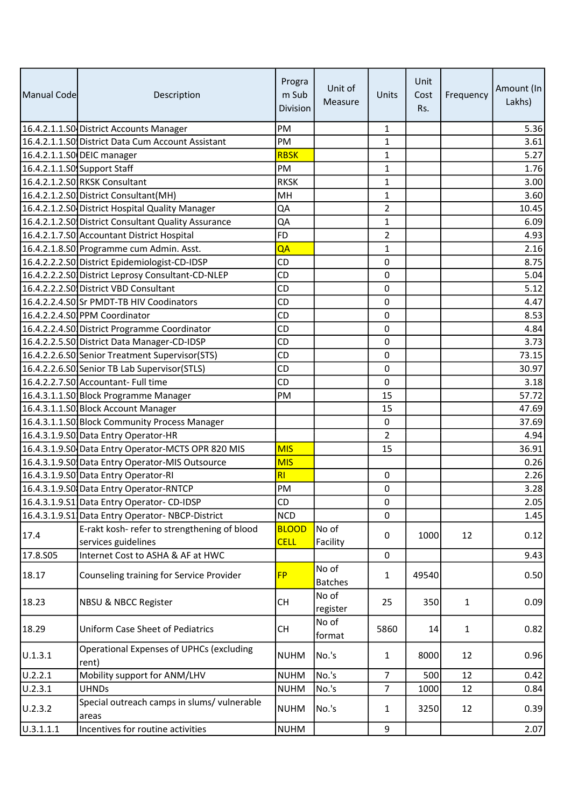| Manual Code | Description                                              | Progra<br>m Sub<br>Division | Unit of<br>Measure      | Units          | Unit<br>Cost<br>Rs. | Frequency    | Amount (In<br>Lakhs) |
|-------------|----------------------------------------------------------|-----------------------------|-------------------------|----------------|---------------------|--------------|----------------------|
|             | 16.4.2.1.1.S0 District Accounts Manager                  | PM                          |                         | $\mathbf{1}$   |                     |              | 5.36                 |
|             | 16.4.2.1.1.SO District Data Cum Account Assistant        | <b>PM</b>                   |                         | $\mathbf{1}$   |                     |              | 3.61                 |
|             | 16.4.2.1.1.SO DEIC manager                               | <b>RBSK</b>                 |                         | 1              |                     |              | 5.27                 |
|             | 16.4.2.1.1.S0 Support Staff                              | PM                          |                         | 1              |                     |              | 1.76                 |
|             | 16.4.2.1.2.SO RKSK Consultant                            | <b>RKSK</b>                 |                         | $\mathbf{1}$   |                     |              | 3.00                 |
|             | 16.4.2.1.2.S0 District Consultant (MH)                   | MH                          |                         | $\mathbf{1}$   |                     |              | 3.60                 |
|             | 16.4.2.1.2.SO District Hospital Quality Manager          | QA                          |                         | $\overline{2}$ |                     |              | 10.45                |
|             | 16.4.2.1.2.SO District Consultant Quality Assurance      | QA                          |                         | $\mathbf{1}$   |                     |              | 6.09                 |
|             | 16.4.2.1.7.S0 Accountant District Hospital               | <b>FD</b>                   |                         | $\overline{2}$ |                     |              | 4.93                 |
|             | 16.4.2.1.8.S0 Programme cum Admin. Asst.                 | QA                          |                         | $\mathbf{1}$   |                     |              | 2.16                 |
|             | 16.4.2.2.2.S0 District Epidemiologist-CD-IDSP            | CD                          |                         | 0              |                     |              | 8.75                 |
|             | 16.4.2.2.2.SO District Leprosy Consultant-CD-NLEP        | <b>CD</b>                   |                         | 0              |                     |              | 5.04                 |
|             | 16.4.2.2.2.S0 District VBD Consultant                    | <b>CD</b>                   |                         | 0              |                     |              | 5.12                 |
|             | 16.4.2.2.4.SOSSr PMDT-TB HIV Coodinators                 | CD                          |                         | 0              |                     |              | 4.47                 |
|             | 16.4.2.2.4.S0 PPM Coordinator                            | <b>CD</b>                   |                         | 0              |                     |              | 8.53                 |
|             | 16.4.2.2.4.S0 District Programme Coordinator             | CD                          |                         | 0              |                     |              | 4.84                 |
|             | 16.4.2.2.5.S0 District Data Manager-CD-IDSP              | CD                          |                         | 0              |                     |              | 3.73                 |
|             | 16.4.2.2.6.S0 Senior Treatment Supervisor (STS)          | <b>CD</b>                   |                         | 0              |                     |              | 73.15                |
|             | 16.4.2.2.6.S0 Senior TB Lab Supervisor (STLS)            | CD                          |                         | 0              |                     |              | 30.97                |
|             | 16.4.2.2.7.S0 Accountant- Full time                      | <b>CD</b>                   |                         | 0              |                     |              | 3.18                 |
|             | 16.4.3.1.1.50 Block Programme Manager                    | PM                          |                         | 15             |                     |              | 57.72                |
|             | 16.4.3.1.1.50 Block Account Manager                      |                             |                         | 15             |                     |              | 47.69                |
|             | 16.4.3.1.1.SO Block Community Process Manager            |                             |                         | 0              |                     |              | 37.69                |
|             | 16.4.3.1.9.SO Data Entry Operator-HR                     |                             |                         | $\overline{2}$ |                     |              | 4.94                 |
|             | 16.4.3.1.9.SO Data Entry Operator-MCTS OPR 820 MIS       | <b>MIS</b>                  |                         | 15             |                     |              | 36.91                |
|             | 16.4.3.1.9.SO Data Entry Operator-MIS Outsource          | <b>MIS</b>                  |                         |                |                     |              | 0.26                 |
|             | 16.4.3.1.9.S0 Data Entry Operator-RI                     | RI                          |                         | 0              |                     |              | 2.26                 |
|             | 16.4.3.1.9.SO Data Entry Operator-RNTCP                  | PM                          |                         | 0              |                     |              | 3.28                 |
|             | 16.4.3.1.9.S1 Data Entry Operator- CD-IDSP               | CD                          |                         | 0              |                     |              | 2.05                 |
|             | 16.4.3.1.9.S1 Data Entry Operator-NBCP-District          | <b>NCD</b>                  |                         | $\mathbf 0$    |                     |              | 1.45                 |
|             | E-rakt kosh- refer to strengthening of blood             | <b>BLOOD</b>                | No of                   |                |                     |              |                      |
| 17.4        | services guidelines                                      | <b>CELL</b>                 | Facility                | 0              | 1000                | 12           | 0.12                 |
| 17.8.S05    | Internet Cost to ASHA & AF at HWC                        |                             |                         | $\mathbf 0$    |                     |              | 9.43                 |
| 18.17       | Counseling training for Service Provider                 | <b>FP</b>                   | No of<br><b>Batches</b> | $\mathbf{1}$   | 49540               |              | 0.50                 |
| 18.23       | <b>NBSU &amp; NBCC Register</b>                          | <b>CH</b>                   | No of<br>register       | 25             | 350                 | $\mathbf{1}$ | 0.09                 |
| 18.29       | <b>Uniform Case Sheet of Pediatrics</b>                  | <b>CH</b>                   | No of<br>format         | 5860           | 14                  | $\mathbf{1}$ | 0.82                 |
| U.1.3.1     | <b>Operational Expenses of UPHCs (excluding</b><br>rent) | <b>NUHM</b>                 | No.'s                   | $\mathbf{1}$   | 8000                | 12           | 0.96                 |
| U.2.2.1     | Mobility support for ANM/LHV                             | <b>NUHM</b>                 | No.'s                   | $\overline{7}$ | 500                 | 12           | 0.42                 |
| U.2.3.1     | <b>UHNDs</b>                                             | <b>NUHM</b>                 | No.'s                   | $\overline{7}$ | 1000                | 12           | 0.84                 |
| U.2.3.2     | Special outreach camps in slums/ vulnerable<br>areas     | <b>NUHM</b>                 | No.'s                   | $\mathbf{1}$   | 3250                | 12           | 0.39                 |
| U.3.1.1.1   | Incentives for routine activities                        | <b>NUHM</b>                 |                         | 9              |                     |              | 2.07                 |